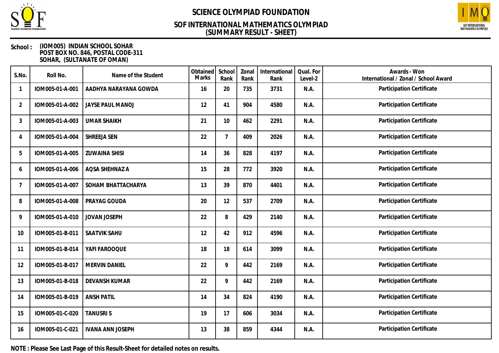

### **(SUMMARY RESULT - SHEET) SOF INTERNATIONAL MATHEMATICS OLYMPIAD**



#### **School : (IOM005) INDIAN SCHOOL SOHAR POST BOX NO. 846, POSTAL CODE-311 SOHAR, (SULTANATE OF OMAN)**

| S.No.          | Roll No.        | Name of the Student     | Obtained<br>Marks | School<br>Rank | Zonal<br>Rank | International<br>Rank | Qual. For<br>Level-2 | Awards - Won<br>International / Zonal / School Award |
|----------------|-----------------|-------------------------|-------------------|----------------|---------------|-----------------------|----------------------|------------------------------------------------------|
|                | IOM005-01-A-001 | AADHYA NARAYANA GOWDA   | 16                | 20             | 735           | 3731                  | N.A.                 | Participation Certificate                            |
| $\overline{2}$ | IOM005-01-A-002 | <b>JAYSE PAUL MANOJ</b> | 12                | 41             | 904           | 4580                  | N.A.                 | Participation Certificate                            |
| 3              | IOM005-01-A-003 | <b>UMAR SHAIKH</b>      | 21                | 10             | 462           | 2291                  | N.A.                 | Participation Certificate                            |
| 4              | IOM005-01-A-004 | SHREEJA SEN             | 22                | $\overline{7}$ | 409           | 2026                  | N.A.                 | Participation Certificate                            |
| 5              | IOM005-01-A-005 | <b>ZUWAINA SHISI</b>    | 14                | 36             | 828           | 4197                  | N.A.                 | Participation Certificate                            |
| 6              | IOM005-01-A-006 | AQSA SHEHNAZ A          | 15                | 28             | 772           | 3920                  | N.A.                 | Participation Certificate                            |
| 7              | IOM005-01-A-007 | SOHAM BHATTACHARYA      | 13                | 39             | 870           | 4401                  | N.A.                 | Participation Certificate                            |
| 8              | IOM005-01-A-008 | PRAYAG GOUDA            | 20                | 12             | 537           | 2709                  | N.A.                 | Participation Certificate                            |
| 9              | IOM005-01-A-010 | <b>JOVAN JOSEPH</b>     | 22                | 8              | 429           | 2140                  | N.A.                 | Participation Certificate                            |
| 10             | IOM005-01-B-011 | SAATVIK SAHU            | 12                | 42             | 912           | 4596                  | N.A.                 | Participation Certificate                            |
| 11             | IOM005-01-B-014 | YAFI FAROOQUE           | 18                | 18             | 614           | 3099                  | N.A.                 | Participation Certificate                            |
| 12             | IOM005-01-B-017 | MERVIN DANIEL           | 22                | 9              | 442           | 2169                  | N.A.                 | Participation Certificate                            |
| 13             | IOM005-01-B-018 | <b>DEVANSH KUMAR</b>    | 22                | 9              | 442           | 2169                  | N.A.                 | Participation Certificate                            |
| 14             | IOM005-01-B-019 | <b>ANSH PATIL</b>       | 14                | 34             | 824           | 4190                  | N.A.                 | Participation Certificate                            |
| 15             | IOM005-01-C-020 | <b>TANUSRIS</b>         | 19                | 17             | 606           | 3034                  | N.A.                 | Participation Certificate                            |
| 16             | IOM005-01-C-021 | <b>IVANA ANN JOSEPH</b> | 13                | 38             | 859           | 4344                  | N.A.                 | Participation Certificate                            |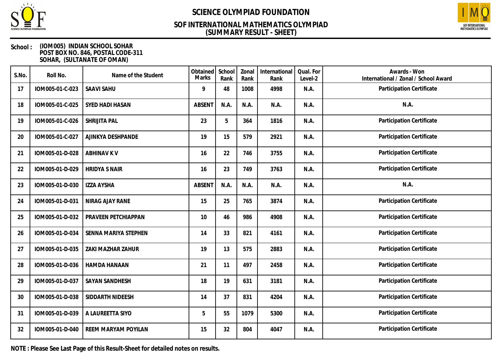

### **(SUMMARY RESULT - SHEET) SOF INTERNATIONAL MATHEMATICS OLYMPIAD**



#### **School : (IOM005) INDIAN SCHOOL SOHAR POST BOX NO. 846, POSTAL CODE-311 SOHAR, (SULTANATE OF OMAN)**

| S.No. | Roll No.        | Name of the Student        | Obtained<br>Marks | School<br>Rank | Zonal<br>Rank | International<br>Rank | Qual. For<br>Level-2 | Awards - Won<br>International / Zonal / School Award |
|-------|-----------------|----------------------------|-------------------|----------------|---------------|-----------------------|----------------------|------------------------------------------------------|
| 17    | IOM005-01-C-023 | <b>SAAVI SAHU</b>          | 9                 | 48             | 1008          | 4998                  | N.A.                 | Participation Certificate                            |
| 18    | IOM005-01-C-025 | SYED HADI HASAN            | <b>ABSENT</b>     | N.A.           | N.A.          | N.A.                  | N.A.                 | N.A.                                                 |
| 19    | IOM005-01-C-026 | SHRIJITA PAL               | 23                | 5              | 364           | 1816                  | N.A.                 | Participation Certificate                            |
| 20    | IOM005-01-C-027 | AJINKYA DESHPANDE          | 19                | 15             | 579           | 2921                  | N.A.                 | Participation Certificate                            |
| 21    | IOM005-01-D-028 | <b>ABHINAV K V</b>         | 16                | 22             | 746           | 3755                  | N.A.                 | Participation Certificate                            |
| 22    | IOM005-01-D-029 | <b>HRIDYA S NAIR</b>       | 16                | 23             | 749           | 3763                  | N.A.                 | Participation Certificate                            |
| 23    | IOM005-01-D-030 | <b>IZZA AYSHA</b>          | <b>ABSENT</b>     | N.A.           | N.A.          | N.A.                  | N.A.                 | N.A.                                                 |
| 24    | IOM005-01-D-031 | NIRAG AJAY RANE            | 15                | 25             | 765           | 3874                  | N.A.                 | Participation Certificate                            |
| 25    | IOM005-01-D-032 | PRAVEEN PETCHIAPPAN        | 10                | 46             | 986           | 4908                  | N.A.                 | Participation Certificate                            |
| 26    | IOM005-01-D-034 | SENNA MARIYA STEPHEN       | 14                | 33             | 821           | 4161                  | N.A.                 | Participation Certificate                            |
| 27    | IOM005-01-D-035 | ZAKI MAZHAR ZAHUR          | 19                | 13             | 575           | 2883                  | N.A.                 | Participation Certificate                            |
| 28    | IOM005-01-D-036 | <b>HAMDA HANAAN</b>        | 21                | 11             | 497           | 2458                  | N.A.                 | Participation Certificate                            |
| 29    | IOM005-01-D-037 | SAYAN SANDHESH             | 18                | 19             | 631           | 3181                  | N.A.                 | Participation Certificate                            |
| 30    | IOM005-01-D-038 | SIDDARTH NIDEESH           | 14                | 37             | 831           | 4204                  | N.A.                 | Participation Certificate                            |
| 31    | IOM005-01-D-039 | A LAUREETTA SIYO           | 5                 | 55             | 1079          | 5300                  | N.A.                 | Participation Certificate                            |
| 32    | IOM005-01-D-040 | <b>REEM MARYAM POYILAN</b> | 15                | 32             | 804           | 4047                  | N.A.                 | Participation Certificate                            |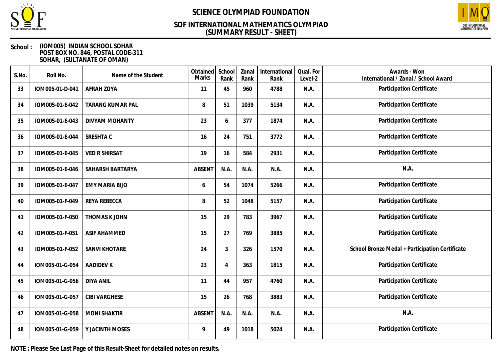

### **(SUMMARY RESULT - SHEET) SOF INTERNATIONAL MATHEMATICS OLYMPIAD**



#### **School : (IOM005) INDIAN SCHOOL SOHAR POST BOX NO. 846, POSTAL CODE-311 SOHAR, (SULTANATE OF OMAN)**

| S.No. | Roll No.        | Name of the Student     | Obtained<br>Marks | School<br>Rank | Zonal<br>Rank | International<br>Rank | Qual. For<br>Level-2 | Awards - Won<br>International / Zonal / School Award |
|-------|-----------------|-------------------------|-------------------|----------------|---------------|-----------------------|----------------------|------------------------------------------------------|
| 33    | IOM005-01-D-041 | AFRAH ZOYA              | 11                | 45             | 960           | 4788                  | N.A.                 | Participation Certificate                            |
| 34    | IOM005-01-E-042 | <b>TARANG KUMAR PAL</b> | 8                 | 51             | 1039          | 5134                  | N.A.                 | Participation Certificate                            |
| 35    | IOM005-01-E-043 | <b>DIVYAM MOHANTY</b>   | 23                | 6              | 377           | 1874                  | N.A.                 | Participation Certificate                            |
| 36    | IOM005-01-E-044 | SRESHTA C               | 16                | 24             | 751           | 3772                  | N.A.                 | Participation Certificate                            |
| 37    | IOM005-01-E-045 | <b>VED R SHIRSAT</b>    | 19                | 16             | 584           | 2931                  | N.A.                 | Participation Certificate                            |
| 38    | IOM005-01-E-046 | SAHARSH BARTARYA        | <b>ABSENT</b>     | N.A.           | N.A.          | N.A.                  | N.A.                 | N.A.                                                 |
| 39    | IOM005-01-E-047 | <b>EMY MARIA BIJO</b>   | 6                 | 54             | 1074          | 5266                  | N.A.                 | Participation Certificate                            |
| 40    | IOM005-01-F-049 | REYA REBECCA            | 8                 | 52             | 1048          | 5157                  | N.A.                 | Participation Certificate                            |
| 41    | IOM005-01-F-050 | THOMAS K JOHN           | 15                | 29             | 783           | 3967                  | N.A.                 | Participation Certificate                            |
| 42    | IOM005-01-F-051 | <b>ASIF AHAMMED</b>     | 15                | 27             | 769           | 3885                  | N.A.                 | Participation Certificate                            |
| 43    | IOM005-01-F-052 | SANVI KHOTARE           | 24                | 3              | 326           | 1570                  | N.A.                 | School Bronze Medal + Participation Certificate      |
| 44    | IOM005-01-G-054 | <b>AADIDEV K</b>        | 23                | 4              | 363           | 1815                  | N.A.                 | Participation Certificate                            |
| 45    | IOM005-01-G-056 | <b>DIYA ANIL</b>        | 11                | 44             | 957           | 4760                  | N.A.                 | Participation Certificate                            |
| 46    | IOM005-01-G-057 | <b>CIBI VARGHESE</b>    | 15                | 26             | 768           | 3883                  | N.A.                 | Participation Certificate                            |
| 47    | IOM005-01-G-058 | <b>MONI SHAKTIR</b>     | <b>ABSENT</b>     | N.A.           | N.A.          | N.A.                  | N.A.                 | N.A.                                                 |
| 48    | IOM005-01-G-059 | Y JACINTH MOSES         | 9                 | 49             | 1018          | 5024                  | N.A.                 | Participation Certificate                            |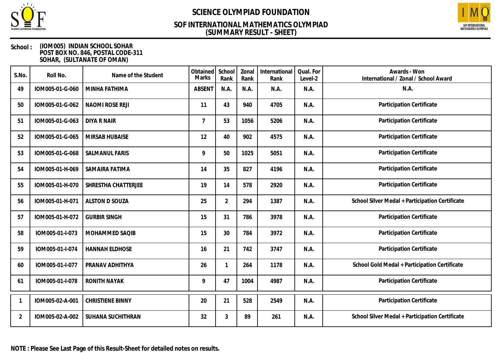

### **(SUMMARY RESULT - SHEET) SOF INTERNATIONAL MATHEMATICS OLYMPIAD**



#### **School : (IOM005) INDIAN SCHOOL SOHAR POST BOX NO. 846, POSTAL CODE-311 SOHAR, (SULTANATE OF OMAN)**

| S.No.          | Roll No.        | Name of the Student     | Obtained<br>Marks | School<br>Rank | Zonal<br>Rank | International<br>Rank | Qual. For<br>Level-2 | Awards - Won<br>International / Zonal / School Award |
|----------------|-----------------|-------------------------|-------------------|----------------|---------------|-----------------------|----------------------|------------------------------------------------------|
| 49             | IOM005-01-G-060 | MINHA FATHIMA           | <b>ABSENT</b>     | N.A.           | N.A.          | N.A.                  | N.A.                 | N.A.                                                 |
| 50             | IOM005-01-G-062 | NAOMI ROSE REJI         | 11                | 43             | 940           | 4705                  | N.A.                 | Participation Certificate                            |
| 51             | IOM005-01-G-063 | <b>DIYA R NAIR</b>      | $\overline{7}$    | 53             | 1056          | 5206                  | N.A.                 | Participation Certificate                            |
| 52             | IOM005-01-G-065 | <b>MIRSAB HUBAISE</b>   | 12                | 40             | 902           | 4575                  | N.A.                 | Participation Certificate                            |
| 53             | IOM005-01-G-068 | <b>SALMANUL FARIS</b>   | 9                 | 50             | 1025          | 5051                  | N.A.                 | Participation Certificate                            |
| 54             | IOM005-01-H-069 | SAMAIRA FATIMA          | 14                | 35             | 827           | 4196                  | N.A.                 | Participation Certificate                            |
| 55             | IOM005-01-H-070 | SHRESTHA CHATTERJEE     | 19                | 14             | 578           | 2920                  | N.A.                 | Participation Certificate                            |
| 56             | IOM005-01-H-071 | <b>ALSTON D SOUZA</b>   | 25                | $\overline{2}$ | 294           | 1387                  | N.A.                 | School Silver Medal + Participation Certificate      |
| 57             | IOM005-01-H-072 | <b>GURBIR SINGH</b>     | 15                | 31             | 786           | 3978                  | N.A.                 | Participation Certificate                            |
| 58             | IOM005-01-I-073 | MOHAMMED SAQIB          | 15                | 30             | 784           | 3972                  | N.A.                 | Participation Certificate                            |
| 59             | IOM005-01-I-074 | <b>HANNAH ELDHOSE</b>   | 16                | 21             | 742           | 3747                  | N.A.                 | Participation Certificate                            |
| 60             | IOM005-01-I-077 | PRANAV ADHITHYA         | 26                | 1              | 264           | 1178                  | N.A.                 | School Gold Medal + Participation Certificate        |
| 61             | IOM005-01-I-078 | <b>RONITH NAYAK</b>     | 9                 | 47             | 1004          | 4987                  | N.A.                 | Participation Certificate                            |
|                | IOM005-02-A-001 | <b>CHRISTIENE BINNY</b> | 20                | 21             | 528           | 2549                  | N.A.                 | Participation Certificate                            |
| $\overline{2}$ | IOM005-02-A-002 | SUHANA SUCHITHRAN       | 32                | 3              | 89            | 261                   | N.A.                 | School Silver Medal + Participation Certificate      |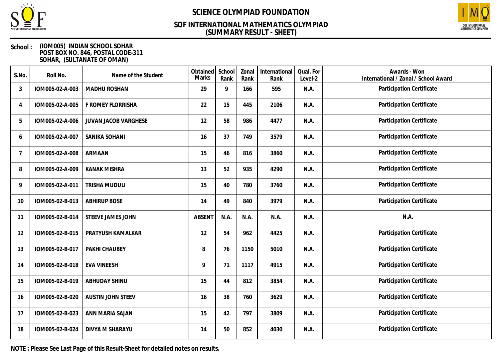

### **(SUMMARY RESULT - SHEET) SOF INTERNATIONAL MATHEMATICS OLYMPIAD**



#### **School : (IOM005) INDIAN SCHOOL SOHAR POST BOX NO. 846, POSTAL CODE-311 SOHAR, (SULTANATE OF OMAN)**

| S.No.          | Roll No.        | Name of the Student      | Obtained<br>Marks | School<br>Rank | Zonal<br>Rank | International<br>Rank | Qual. For<br>Level-2 | Awards - Won<br>International / Zonal / School Award |
|----------------|-----------------|--------------------------|-------------------|----------------|---------------|-----------------------|----------------------|------------------------------------------------------|
| 3              | IOM005-02-A-003 | <b>MADHU ROSHAN</b>      | 29                | 9              | 166           | 595                   | N.A.                 | Participation Certificate                            |
| 4              | IOM005-02-A-005 | F ROMEY FLORRISHA        | 22                | 15             | 445           | 2106                  | N.A.                 | Participation Certificate                            |
| 5              | IOM005-02-A-006 | JUVAN JACOB VARGHESE     | 12                | 58             | 986           | 4477                  | N.A.                 | Participation Certificate                            |
| 6              | IOM005-02-A-007 | SANIKA SOHANI            | 16                | 37             | 749           | 3579                  | N.A.                 | Participation Certificate                            |
| $\overline{7}$ | IOM005-02-A-008 | ARMAAN                   | 15                | 46             | 816           | 3860                  | N.A.                 | Participation Certificate                            |
| 8              | IOM005-02-A-009 | <b>KANAK MISHRA</b>      | 13                | 52             | 935           | 4290                  | N.A.                 | Participation Certificate                            |
| 9              | IOM005-02-A-011 | <b>TRISHA MUDULI</b>     | 15                | 40             | 780           | 3760                  | N.A.                 | Participation Certificate                            |
| 10             | IOM005-02-B-013 | <b>ABHIRUP BOSE</b>      | 14                | 49             | 840           | 3979                  | N.A.                 | Participation Certificate                            |
| 11             | IOM005-02-B-014 | STEEVE JAMES JOHN        | <b>ABSENT</b>     | N.A.           | N.A.          | N.A.                  | N.A.                 | N.A.                                                 |
| 12             | IOM005-02-B-015 | PRATYUSH KAMALKAR        | 12                | 54             | 962           | 4425                  | N.A.                 | Participation Certificate                            |
| 13             | IOM005-02-B-017 | PAKHI CHAUBEY            | 8                 | 76             | 1150          | 5010                  | N.A.                 | Participation Certificate                            |
| 14             | IOM005-02-B-018 | <b>EVA VINEESH</b>       | 9                 | 71             | 1117          | 4915                  | N.A.                 | Participation Certificate                            |
| 15             | IOM005-02-B-019 | ABHUDAY SHINU            | 15                | 44             | 812           | 3854                  | N.A.                 | Participation Certificate                            |
| 16             | IOM005-02-B-020 | <b>AUSTIN JOHN STEEV</b> | 16                | 38             | 760           | 3629                  | N.A.                 | Participation Certificate                            |
| 17             | IOM005-02-B-023 | ANN MARIA SAJAN          | 15                | 42             | 797           | 3809                  | N.A.                 | Participation Certificate                            |
| 18             | IOM005-02-B-024 | DIVYA M SHARAYU          | 14                | 50             | 852           | 4030                  | N.A.                 | Participation Certificate                            |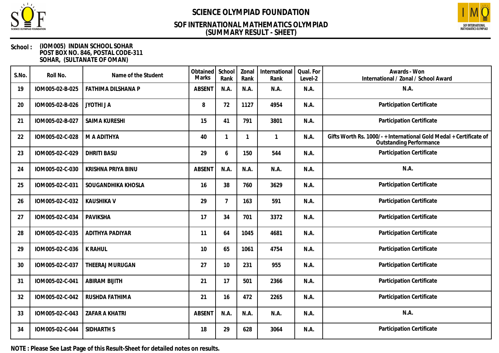

### **(SUMMARY RESULT - SHEET) SOF INTERNATIONAL MATHEMATICS OLYMPIAD**



#### **School : (IOM005) INDIAN SCHOOL SOHAR POST BOX NO. 846, POSTAL CODE-311 SOHAR, (SULTANATE OF OMAN)**

| S.No. | Roll No.        | Name of the Student   | Obtained<br>Marks | School<br>Rank | Zonal<br>Rank | International<br>Rank | Qual. For<br>Level-2 | Awards - Won<br>International / Zonal / School Award                                               |
|-------|-----------------|-----------------------|-------------------|----------------|---------------|-----------------------|----------------------|----------------------------------------------------------------------------------------------------|
| 19    | IOM005-02-B-025 | FATHIMA DILSHANA P    | <b>ABSENT</b>     | N.A.           | N.A.          | N.A.                  | N.A.                 | N.A.                                                                                               |
| 20    | IOM005-02-B-026 | JYOTHI J A            | 8                 | 72             | 1127          | 4954                  | N.A.                 | Participation Certificate                                                                          |
| 21    | IOM005-02-B-027 | SAIMA KURESHI         | 15                | 41             | 791           | 3801                  | N.A.                 | Participation Certificate                                                                          |
| 22    | IOM005-02-C-028 | M A ADITHYA           | 40                | $\mathbf{1}$   |               | 1                     | N.A.                 | Gifts Worth Rs. 1000/-+International Gold Medal + Certificate of<br><b>Outstanding Performance</b> |
| 23    | IOM005-02-C-029 | <b>DHRITI BASU</b>    | 29                | 6              | 150           | 544                   | N.A.                 | Participation Certificate                                                                          |
| 24    | IOM005-02-C-030 | KRISHNA PRIYA BINU    | <b>ABSENT</b>     | N.A.           | N.A.          | N.A.                  | N.A.                 | N.A.                                                                                               |
| 25    | IOM005-02-C-031 | SOUGANDHIKA KHOSLA    | 16                | 38             | 760           | 3629                  | N.A.                 | Participation Certificate                                                                          |
| 26    | IOM005-02-C-032 | <b>KAUSHIKA V</b>     | 29                | $\overline{7}$ | 163           | 591                   | N.A.                 | Participation Certificate                                                                          |
| 27    | IOM005-02-C-034 | <b>PAVIKSHA</b>       | 17                | 34             | 701           | 3372                  | N.A.                 | Participation Certificate                                                                          |
| 28    | IOM005-02-C-035 | ADITHYA PADIYAR       | 11                | 64             | 1045          | 4681                  | N.A.                 | Participation Certificate                                                                          |
| 29    | IOM005-02-C-036 | <b>K RAHUL</b>        | 10                | 65             | 1061          | 4754                  | N.A.                 | Participation Certificate                                                                          |
| 30    | IOM005-02-C-037 | THEERAJ MURUGAN       | 27                | 10             | 231           | 955                   | N.A.                 | Participation Certificate                                                                          |
| 31    | IOM005-02-C-041 | <b>ABIRAM BIJITH</b>  | 21                | 17             | 501           | 2366                  | N.A.                 | Participation Certificate                                                                          |
| 32    | IOM005-02-C-042 | RUSHDA FATHIMA        | 21                | 16             | 472           | 2265                  | N.A.                 | Participation Certificate                                                                          |
| 33    | IOM005-02-C-043 | <b>ZAFAR A KHATRI</b> | <b>ABSENT</b>     | N.A.           | N.A.          | N.A.                  | N.A.                 | N.A.                                                                                               |
| 34    | IOM005-02-C-044 | SIDHARTH S            | 18                | 29             | 628           | 3064                  | N.A.                 | Participation Certificate                                                                          |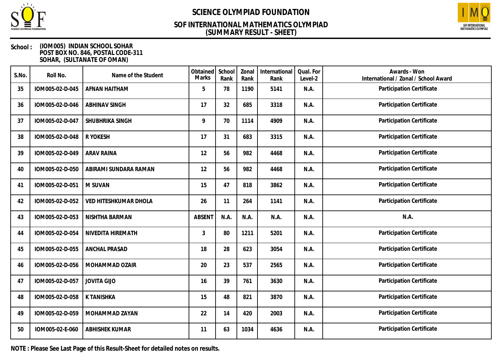

### **(SUMMARY RESULT - SHEET) SOF INTERNATIONAL MATHEMATICS OLYMPIAD**



#### **School : (IOM005) INDIAN SCHOOL SOHAR POST BOX NO. 846, POSTAL CODE-311 SOHAR, (SULTANATE OF OMAN)**

| S.No. | Roll No.        | Name of the Student   | Obtained<br>Marks | School<br>Rank | Zonal<br>Rank | International<br>Rank | Qual. For<br>Level-2 | Awards - Won<br>International / Zonal / School Award |
|-------|-----------------|-----------------------|-------------------|----------------|---------------|-----------------------|----------------------|------------------------------------------------------|
| 35    | IOM005-02-D-045 | AFNAN HAITHAM         | 5                 | 78             | 1190          | 5141                  | N.A.                 | Participation Certificate                            |
| 36    | IOM005-02-D-046 | <b>ABHINAV SINGH</b>  | 17                | 32             | 685           | 3318                  | N.A.                 | Participation Certificate                            |
| 37    | IOM005-02-D-047 | SHUBHRIKA SINGH       | 9                 | 70             | 1114          | 4909                  | N.A.                 | Participation Certificate                            |
| 38    | IOM005-02-D-048 | R YOKESH              | 17                | 31             | 683           | 3315                  | N.A.                 | Participation Certificate                            |
| 39    | IOM005-02-D-049 | <b>ARAV RAINA</b>     | 12                | 56             | 982           | 4468                  | N.A.                 | Participation Certificate                            |
| 40    | IOM005-02-D-050 | ABIRAMI SUNDARA RAMAN | 12                | 56             | 982           | 4468                  | N.A.                 | Participation Certificate                            |
| 41    | IOM005-02-D-051 | M SUVAN               | 15                | 47             | 818           | 3862                  | N.A.                 | Participation Certificate                            |
| 42    | IOM005-02-D-052 | VED HITESHKUMAR DHOLA | 26                | 11             | 264           | 1141                  | N.A.                 | Participation Certificate                            |
| 43    | IOM005-02-D-053 | NISHTHA BARMAN        | <b>ABSENT</b>     | N.A.           | N.A.          | N.A.                  | N.A.                 | N.A.                                                 |
| 44    | IOM005-02-D-054 | NIVEDITA HIREMATH     | 3                 | 80             | 1211          | 5201                  | N.A.                 | Participation Certificate                            |
| 45    | IOM005-02-D-055 | ANCHAL PRASAD         | 18                | 28             | 623           | 3054                  | N.A.                 | Participation Certificate                            |
| 46    | IOM005-02-D-056 | MOHAMMAD OZAIR        | 20                | 23             | 537           | 2565                  | N.A.                 | Participation Certificate                            |
| 47    | IOM005-02-D-057 | <b>JOVITA GIJO</b>    | 16                | 39             | 761           | 3630                  | N.A.                 | Participation Certificate                            |
| 48    | IOM005-02-D-058 | K TANISHKA            | 15                | 48             | 821           | 3870                  | N.A.                 | Participation Certificate                            |
| 49    | IOM005-02-D-059 | MOHAMMAD ZAYAN        | 22                | 14             | 420           | 2003                  | N.A.                 | Participation Certificate                            |
| 50    | IOM005-02-E-060 | <b>ABHISHEK KUMAR</b> | 11                | 63             | 1034          | 4636                  | N.A.                 | Participation Certificate                            |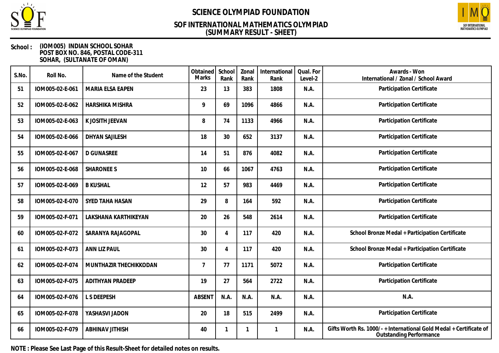

### **(SUMMARY RESULT - SHEET) SOF INTERNATIONAL MATHEMATICS OLYMPIAD**



#### **School : (IOM005) INDIAN SCHOOL SOHAR POST BOX NO. 846, POSTAL CODE-311 SOHAR, (SULTANATE OF OMAN)**

| S.No. | Roll No.        | Name of the Student     | Obtained<br>Marks | School<br>Rank | Zonal<br>Rank | International<br>Rank | Qual. For<br>Level-2 | Awards - Won<br>International / Zonal / School Award                                               |
|-------|-----------------|-------------------------|-------------------|----------------|---------------|-----------------------|----------------------|----------------------------------------------------------------------------------------------------|
| 51    | IOM005-02-E-061 | MARIA ELSA EAPEN        | 23                | 13             | 383           | 1808                  | N.A.                 | Participation Certificate                                                                          |
| 52    | IOM005-02-E-062 | HARSHIKA MISHRA         | 9                 | 69             | 1096          | 4866                  | N.A.                 | Participation Certificate                                                                          |
| 53    | IOM005-02-E-063 | K JOSITH JEEVAN         | 8                 | 74             | 1133          | 4966                  | N.A.                 | Participation Certificate                                                                          |
| 54    | IOM005-02-E-066 | <b>DHYAN SAJILESH</b>   | 18                | 30             | 652           | 3137                  | N.A.                 | Participation Certificate                                                                          |
| 55    | IOM005-02-E-067 | <b>D GUNASREE</b>       | 14                | 51             | 876           | 4082                  | N.A.                 | Participation Certificate                                                                          |
| 56    | IOM005-02-E-068 | <b>SHARONEE S</b>       | 10                | 66             | 1067          | 4763                  | N.A.                 | Participation Certificate                                                                          |
| 57    | IOM005-02-E-069 | <b>B KUSHAL</b>         | 12                | 57             | 983           | 4469                  | N.A.                 | Participation Certificate                                                                          |
| 58    | IOM005-02-E-070 | SYED TAHA HASAN         | 29                | 8              | 164           | 592                   | N.A.                 | Participation Certificate                                                                          |
| 59    | IOM005-02-F-071 | LAKSHANA KARTHIKEYAN    | 20                | 26             | 548           | 2614                  | N.A.                 | Participation Certificate                                                                          |
| 60    | IOM005-02-F-072 | SARANYA RAJAGOPAL       | 30                | 4              | 117           | 420                   | N.A.                 | School Bronze Medal + Participation Certificate                                                    |
| 61    | IOM005-02-F-073 | ANN LIZ PAUL            | 30                | 4              | 117           | 420                   | N.A.                 | School Bronze Medal + Participation Certificate                                                    |
| 62    | IOM005-02-F-074 | MUNTHAZIR THECHIKKODAN  | $\overline{7}$    | 77             | 1171          | 5072                  | N.A.                 | Participation Certificate                                                                          |
| 63    | IOM005-02-F-075 | <b>ADITHYAN PRADEEP</b> | 19                | 27             | 564           | 2722                  | N.A.                 | Participation Certificate                                                                          |
| 64    | IOM005-02-F-076 | L S DEEPESH             | <b>ABSENT</b>     | N.A.           | N.A.          | N.A.                  | N.A.                 | N.A.                                                                                               |
| 65    | IOM005-02-F-078 | YASHASVI JADON          | 20                | 18             | 515           | 2499                  | N.A.                 | Participation Certificate                                                                          |
| 66    | IOM005-02-F-079 | <b>ABHINAV JITHISH</b>  | 40                |                |               | 1                     | N.A.                 | Gifts Worth Rs. 1000/-+International Gold Medal + Certificate of<br><b>Outstanding Performance</b> |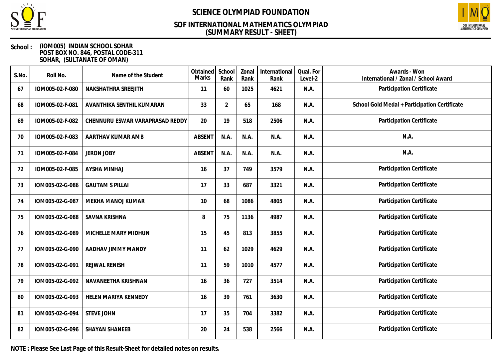

### **(SUMMARY RESULT - SHEET) SOF INTERNATIONAL MATHEMATICS OLYMPIAD**



#### **School : (IOM005) INDIAN SCHOOL SOHAR POST BOX NO. 846, POSTAL CODE-311 SOHAR, (SULTANATE OF OMAN)**

| S.No. | Roll No.        | Name of the Student             | Obtained<br>Marks | School<br>Rank | Zonal<br>Rank | International<br>Rank | Qual. For<br>Level-2 | Awards - Won<br>International / Zonal / School Award |
|-------|-----------------|---------------------------------|-------------------|----------------|---------------|-----------------------|----------------------|------------------------------------------------------|
| 67    | IOM005-02-F-080 | NAKSHATHRA SREEJITH             | 11                | 60             | 1025          | 4621                  | N.A.                 | Participation Certificate                            |
| 68    | IOM005-02-F-081 | AVANTHIKA SENTHIL KUMARAN       | 33                | $\overline{2}$ | 65            | 168                   | N.A.                 | School Gold Medal + Participation Certificate        |
| 69    | IOM005-02-F-082 | CHENNURU ESWAR VARAPRASAD REDDY | 20                | 19             | 518           | 2506                  | N.A.                 | Participation Certificate                            |
| 70    | IOM005-02-F-083 | AARTHAV KUMAR AMB               | <b>ABSENT</b>     | N.A.           | N.A.          | N.A.                  | N.A.                 | N.A.                                                 |
| 71    | IOM005-02-F-084 | <b>JERON JOBY</b>               | <b>ABSENT</b>     | N.A.           | N.A.          | N.A.                  | N.A.                 | N.A.                                                 |
| 72    | IOM005-02-F-085 | <b>AYSHA MINHAJ</b>             | 16                | 37             | 749           | 3579                  | N.A.                 | Participation Certificate                            |
| 73    | IOM005-02-G-086 | <b>GAUTAM S PILLAI</b>          | 17                | 33             | 687           | 3321                  | N.A.                 | Participation Certificate                            |
| 74    | IOM005-02-G-087 | MEKHA MANOJ KUMAR               | 10                | 68             | 1086          | 4805                  | N.A.                 | Participation Certificate                            |
| 75    | IOM005-02-G-088 | <b>SAVNA KRISHNA</b>            | 8                 | 75             | 1136          | 4987                  | N.A.                 | Participation Certificate                            |
| 76    | IOM005-02-G-089 | MICHELLE MARY MIDHUN            | 15                | 45             | 813           | 3855                  | N.A.                 | Participation Certificate                            |
| 77    | IOM005-02-G-090 | AADHAV JIMMY MANDY              | 11                | 62             | 1029          | 4629                  | N.A.                 | Participation Certificate                            |
| 78    | IOM005-02-G-091 | <b>REJWAL RENISH</b>            | 11                | 59             | 1010          | 4577                  | N.A.                 | Participation Certificate                            |
| 79    | IOM005-02-G-092 | NAVANEETHA KRISHNAN             | 16                | 36             | 727           | 3514                  | N.A.                 | Participation Certificate                            |
| 80    | IOM005-02-G-093 | HELEN MARIYA KENNEDY            | 16                | 39             | 761           | 3630                  | N.A.                 | Participation Certificate                            |
| 81    | IOM005-02-G-094 | <b>STEVE JOHN</b>               | 17                | 35             | 704           | 3382                  | N.A.                 | Participation Certificate                            |
| 82    | IOM005-02-G-096 | <b>SHAYAN SHANEEB</b>           | 20                | 24             | 538           | 2566                  | N.A.                 | Participation Certificate                            |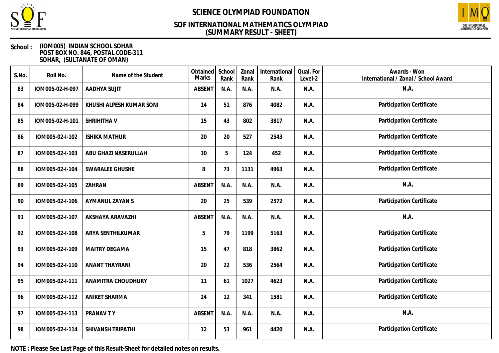

## **(SUMMARY RESULT - SHEET) SOF INTERNATIONAL MATHEMATICS OLYMPIAD**



#### **School : (IOM005) INDIAN SCHOOL SOHAR POST BOX NO. 846, POSTAL CODE-311 SOHAR, (SULTANATE OF OMAN)**

| S.No. | Roll No.        | Name of the Student      | Obtained<br>Marks | School<br>Rank | Zonal<br>Rank | International<br>Rank | Qual. For<br>Level-2 | Awards - Won<br>International / Zonal / School Award |
|-------|-----------------|--------------------------|-------------------|----------------|---------------|-----------------------|----------------------|------------------------------------------------------|
| 83    | IOM005-02-H-097 | AADHYA SUJIT             | <b>ABSENT</b>     | N.A.           | N.A.          | N.A.                  | N.A.                 | N.A.                                                 |
| 84    | IOM005-02-H-099 | KHUSHI ALPESH KUMAR SONI | 14                | 51             | 876           | 4082                  | N.A.                 | Participation Certificate                            |
| 85    | IOM005-02-H-101 | SHRIHITHA V              | 15                | 43             | 802           | 3817                  | N.A.                 | Participation Certificate                            |
| 86    | IOM005-02-I-102 | <b>ISHIKA MATHUR</b>     | 20                | 20             | 527           | 2543                  | N.A.                 | Participation Certificate                            |
| 87    | IOM005-02-I-103 | ABU GHAZI NASERULLAH     | 30                | 5              | 124           | 452                   | N.A.                 | Participation Certificate                            |
| 88    | IOM005-02-I-104 | <b>SWARALEE GHUSHE</b>   | 8                 | 73             | 1131          | 4963                  | N.A.                 | Participation Certificate                            |
| 89    | IOM005-02-I-105 | ZAHRAN                   | <b>ABSENT</b>     | N.A.           | N.A.          | N.A.                  | N.A.                 | N.A.                                                 |
| 90    | IOM005-02-I-106 | AYMANUL ZAYAN S          | 20                | 25             | 539           | 2572                  | N.A.                 | Participation Certificate                            |
| 91    | IOM005-02-I-107 | AKSHAYA ARAVAZHI         | <b>ABSENT</b>     | N.A.           | N.A.          | N.A.                  | N.A.                 | N.A.                                                 |
| 92    | IOM005-02-I-108 | ARYA SENTHILKUMAR        | 5                 | 79             | 1199          | 5163                  | N.A.                 | Participation Certificate                            |
| 93    | IOM005-02-I-109 | MAITRY DEGAMA            | 15                | 47             | 818           | 3862                  | N.A.                 | Participation Certificate                            |
| 94    | IOM005-02-I-110 | <b>ANANT THAYRANI</b>    | 20                | 22             | 536           | 2564                  | N.A.                 | Participation Certificate                            |
| 95    | IOM005-02-I-111 | ANAMITRA CHOUDHURY       | 11                | 61             | 1027          | 4623                  | N.A.                 | Participation Certificate                            |
| 96    | IOM005-02-I-112 | <b>ANIKET SHARMA</b>     | 24                | 12             | 341           | 1581                  | N.A.                 | Participation Certificate                            |
| 97    | IOM005-02-I-113 | PRANAV TY                | <b>ABSENT</b>     | N.A.           | N.A.          | N.A.                  | N.A.                 | N.A.                                                 |
| 98    | IOM005-02-I-114 | SHIVANSH TRIPATHI        | 12                | 53             | 961           | 4420                  | N.A.                 | Participation Certificate                            |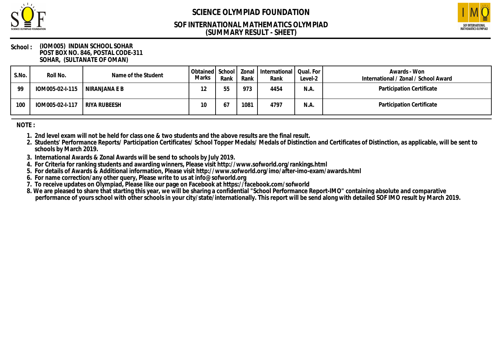

## **(SUMMARY RESULT - SHEET) SOF INTERNATIONAL MATHEMATICS OLYMPIAD**



#### **School : (IOM005) INDIAN SCHOOL SOHAR POST BOX NO. 846, POSTAL CODE-311 SOHAR, (SULTANATE OF OMAN)**

| S.No. | Roll No.                        | Name of the Student | Marks | Rank | Rank | Obtained   School   Zonal   International  <br>Rank | Qual. For<br>Level-2 | Awards - Won<br>International / Zonal / School Award |
|-------|---------------------------------|---------------------|-------|------|------|-----------------------------------------------------|----------------------|------------------------------------------------------|
| 99    | $10M005-02-1-115$ NIRANJANA E B |                     |       |      | 973  | 4454                                                | N.A.                 | Participation Certificate                            |
| 100   | IOM005-02-I-117   RIYA RUBEESH  |                     | 10    |      | 1081 | 4797                                                | N.A.                 | Participation Certificate                            |

**NOTE :**

- **1. 2nd level exam will not be held for class one & two students and the above results are the final result.**
- **2. Students' Performance Reports/ Participation Certificates/ School Topper Medals/ Medals of Distinction and Certificates of Distinction, as applicable, will be sent to schools by March 2019.**
- **3. International Awards & Zonal Awards will be send to schools by July 2019.**
- **4. For Criteria for ranking students and awarding winners, Please visit http://www.sofworld.org/rankings.html**
- **5. For details of Awards & Additional information, Please visit http://www.sofworld.org/imo/after-imo-exam/awards.html**
- **6. For name correction/any other query, Please write to us at info@sofworld.org**
- **7. To receive updates on Olympiad, Please like our page on Facebook at https://facebook.com/sofworld**
- **8. We are pleased to share that starting this year, we will be sharing a confidential "School Performance Report-IMO" containing absolute and comparative performance of yours school with other schools in your city/state/internationally. This report will be send along with detailed SOF IMO result by March 2019.**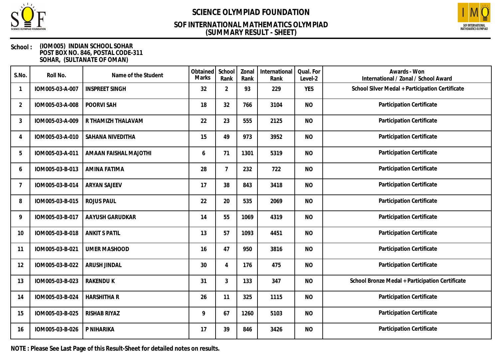

### **(SUMMARY RESULT - SHEET) SOF INTERNATIONAL MATHEMATICS OLYMPIAD**



#### **School : (IOM005) INDIAN SCHOOL SOHAR POST BOX NO. 846, POSTAL CODE-311 SOHAR, (SULTANATE OF OMAN)**

| S.No.          | Roll No.        | Name of the Student   | Obtained<br>Marks | School<br>Rank | Zonal<br>Rank | International<br>Rank | Qual. For<br>Level-2 | Awards - Won<br>International / Zonal / School Award |
|----------------|-----------------|-----------------------|-------------------|----------------|---------------|-----------------------|----------------------|------------------------------------------------------|
|                | IOM005-03-A-007 | <b>INSPREET SINGH</b> | 32                | $\overline{2}$ | 93            | 229                   | <b>YES</b>           | School Silver Medal + Participation Certificate      |
| $\overline{2}$ | IOM005-03-A-008 | POORVI SAH            | 18                | 32             | 766           | 3104                  | <b>NO</b>            | Participation Certificate                            |
| 3              | IOM005-03-A-009 | R THAMIZH THALAVAM    | 22                | 23             | 555           | 2125                  | <b>NO</b>            | Participation Certificate                            |
| 4              | IOM005-03-A-010 | SAHANA NIVEDITHA      | 15                | 49             | 973           | 3952                  | <b>NO</b>            | Participation Certificate                            |
| 5              | IOM005-03-A-011 | AMAAN FAISHAL MAJOTHI | 6                 | 71             | 1301          | 5319                  | <b>NO</b>            | Participation Certificate                            |
| 6              | IOM005-03-B-013 | AMINA FATIMA          | 28                | $\overline{7}$ | 232           | 722                   | <b>NO</b>            | Participation Certificate                            |
| 7              | IOM005-03-B-014 | <b>ARYAN SAJEEV</b>   | 17                | 38             | 843           | 3418                  | <b>NO</b>            | Participation Certificate                            |
| 8              | IOM005-03-B-015 | <b>ROJUS PAUL</b>     | 22                | 20             | 535           | 2069                  | <b>NO</b>            | Participation Certificate                            |
| 9              | IOM005-03-B-017 | AAYUSH GARUDKAR       | 14                | 55             | 1069          | 4319                  | <b>NO</b>            | Participation Certificate                            |
| 10             | IOM005-03-B-018 | <b>ANKIT S PATIL</b>  | 13                | 57             | 1093          | 4451                  | <b>NO</b>            | Participation Certificate                            |
| 11             | IOM005-03-B-021 | <b>UMER MASHOOD</b>   | 16                | 47             | 950           | 3816                  | <b>NO</b>            | Participation Certificate                            |
| 12             | IOM005-03-B-022 | ARUSH JINDAL          | 30                | $\overline{4}$ | 176           | 475                   | <b>NO</b>            | Participation Certificate                            |
| 13             | IOM005-03-B-023 | <b>RAKENDU K</b>      | 31                | $\mathfrak{Z}$ | 133           | 347                   | <b>NO</b>            | School Bronze Medal + Participation Certificate      |
| 14             | IOM005-03-B-024 | <b>HARSHITHA R</b>    | 26                | 11             | 325           | 1115                  | <b>NO</b>            | Participation Certificate                            |
| 15             | IOM005-03-B-025 | RISHAB RIYAZ          | 9                 | 67             | 1260          | 5103                  | <b>NO</b>            | Participation Certificate                            |
| 16             | IOM005-03-B-026 | P NIHARIKA            | 17                | 39             | 846           | 3426                  | <b>NO</b>            | Participation Certificate                            |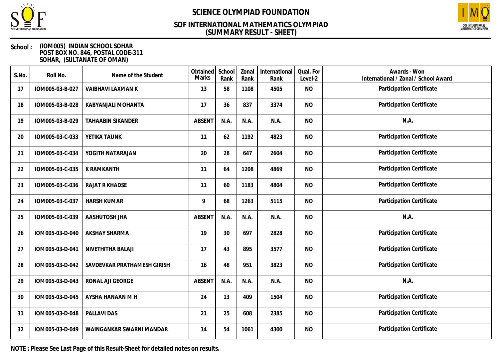

### **(SUMMARY RESULT - SHEET) SOF INTERNATIONAL MATHEMATICS OLYMPIAD**



#### **School : (IOM005) INDIAN SCHOOL SOHAR POST BOX NO. 846, POSTAL CODE-311 SOHAR, (SULTANATE OF OMAN)**

| S.No. | Roll No.        | Name of the Student         | Obtained<br>Marks | School<br>Rank | Zonal<br>Rank | International<br>Rank | Qual. For<br>Level-2 | Awards - Won<br>International / Zonal / School Award |
|-------|-----------------|-----------------------------|-------------------|----------------|---------------|-----------------------|----------------------|------------------------------------------------------|
| 17    | IOM005-03-B-027 | VAIBHAVI LAXMAN K           | 13                | 58             | 1108          | 4505                  | <b>NO</b>            | Participation Certificate                            |
| 18    | IOM005-03-B-028 | KABYANJALI MOHANTA          | 17                | 36             | 837           | 3374                  | <b>NO</b>            | Participation Certificate                            |
| 19    | IOM005-03-B-029 | <b>TAHAABIN SIKANDER</b>    | <b>ABSENT</b>     | N.A.           | N.A.          | N.A.                  | <b>NO</b>            | N.A.                                                 |
| 20    | IOM005-03-C-033 | YETIKA TAUNK                | 11                | 62             | 1192          | 4823                  | <b>NO</b>            | Participation Certificate                            |
| 21    | IOM005-03-C-034 | YOGITH NATARAJAN            | 20                | 28             | 647           | 2604                  | <b>NO</b>            | Participation Certificate                            |
| 22    | IOM005-03-C-035 | K RAMKANTH                  | 11                | 64             | 1208          | 4869                  | <b>NO</b>            | Participation Certificate                            |
| 23    | IOM005-03-C-036 | <b>RAJAT R KHADSE</b>       | 11                | 60             | 1183          | 4804                  | <b>NO</b>            | Participation Certificate                            |
| 24    | IOM005-03-C-037 | <b>HARSH KUMAR</b>          | 9                 | 68             | 1263          | 5115                  | <b>NO</b>            | Participation Certificate                            |
| 25    | IOM005-03-C-039 | AASHUTOSH JHA               | <b>ABSENT</b>     | N.A.           | N.A.          | N.A.                  | <b>NO</b>            | N.A.                                                 |
| 26    | IOM005-03-D-040 | <b>AKSHAY SHARMA</b>        | 19                | 30             | 697           | 2828                  | <b>NO</b>            | Participation Certificate                            |
| 27    | IOM005-03-D-041 | NIVETHITHA BALAJI           | 17                | 43             | 895           | 3577                  | <b>NO</b>            | Participation Certificate                            |
| 28    | IOM005-03-D-042 | SAVDEVKAR PRATHAMESH GIRISH | 16                | 48             | 951           | 3823                  | <b>NO</b>            | Participation Certificate                            |
| 29    | IOM005-03-D-043 | RONAL AJI GEORGE            | <b>ABSENT</b>     | N.A.           | N.A.          | N.A.                  | <b>NO</b>            | N.A.                                                 |
| 30    | IOM005-03-D-045 | AYSHA HANAAN M H            | 24                | 13             | 409           | 1504                  | <b>NO</b>            | Participation Certificate                            |
| 31    | IOM005-03-D-048 | PALLAVI DAS                 | 21                | 25             | 608           | 2385                  | <b>NO</b>            | Participation Certificate                            |
| 32    | IOM005-03-D-049 | WAINGANKAR SWARNI MANDAR    | 14                | 54             | 1061          | 4300                  | <b>NO</b>            | Participation Certificate                            |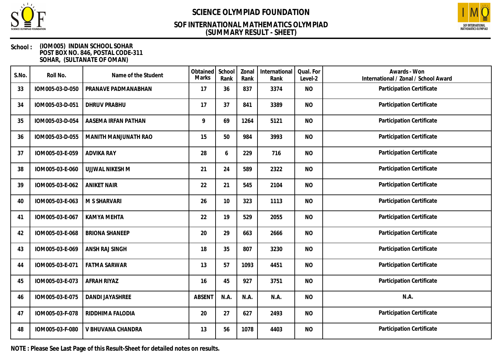

### **(SUMMARY RESULT - SHEET) SOF INTERNATIONAL MATHEMATICS OLYMPIAD**



#### **School : (IOM005) INDIAN SCHOOL SOHAR POST BOX NO. 846, POSTAL CODE-311 SOHAR, (SULTANATE OF OMAN)**

| S.No. | Roll No.        | Name of the Student    | Obtained<br>Marks | School<br>Rank | Zonal<br>Rank | International<br>Rank | Qual. For<br>Level-2 | Awards - Won<br>International / Zonal / School Award |
|-------|-----------------|------------------------|-------------------|----------------|---------------|-----------------------|----------------------|------------------------------------------------------|
| 33    | IOM005-03-D-050 | PRANAVE PADMANABHAN    | 17                | 36             | 837           | 3374                  | <b>NO</b>            | Participation Certificate                            |
| 34    | IOM005-03-D-051 | <b>DHRUV PRABHU</b>    | 17                | 37             | 841           | 3389                  | <b>NO</b>            | Participation Certificate                            |
| 35    | IOM005-03-D-054 | AASEMA IRFAN PATHAN    | 9                 | 69             | 1264          | 5121                  | <b>NO</b>            | Participation Certificate                            |
| 36    | IOM005-03-D-055 | MANITH MANJUNATH RAO   | 15                | 50             | 984           | 3993                  | <b>NO</b>            | Participation Certificate                            |
| 37    | IOM005-03-E-059 | <b>ADVIKA RAY</b>      | 28                | 6              | 229           | 716                   | <b>NO</b>            | Participation Certificate                            |
| 38    | IOM005-03-E-060 | UJJWAL NIKESH M        | 21                | 24             | 589           | 2322                  | <b>NO</b>            | Participation Certificate                            |
| 39    | IOM005-03-E-062 | <b>ANIKET NAIR</b>     | 22                | 21             | 545           | 2104                  | <b>NO</b>            | Participation Certificate                            |
| 40    | IOM005-03-E-063 | M S SHARVARI           | 26                | 10             | 323           | 1113                  | <b>NO</b>            | Participation Certificate                            |
| 41    | IOM005-03-E-067 | <b>KAMYA MEHTA</b>     | 22                | 19             | 529           | 2055                  | <b>NO</b>            | Participation Certificate                            |
| 42    | IOM005-03-E-068 | <b>BRIONA SHANEEP</b>  | 20                | 29             | 663           | 2666                  | <b>NO</b>            | Participation Certificate                            |
| 43    | IOM005-03-E-069 | ANSH RAJ SINGH         | 18                | 35             | 807           | 3230                  | <b>NO</b>            | Participation Certificate                            |
| 44    | IOM005-03-E-071 | <b>FATMA SARWAR</b>    | 13                | 57             | 1093          | 4451                  | <b>NO</b>            | Participation Certificate                            |
| 45    | IOM005-03-E-073 | AFRAH RIYAZ            | 16                | 45             | 927           | 3751                  | <b>NO</b>            | Participation Certificate                            |
| 46    | IOM005-03-E-075 | <b>DANDI JAYASHREE</b> | <b>ABSENT</b>     | N.A.           | N.A.          | N.A.                  | <b>NO</b>            | N.A.                                                 |
| 47    | IOM005-03-F-078 | RIDDHIMA FALODIA       | 20                | 27             | 627           | 2493                  | <b>NO</b>            | Participation Certificate                            |
| 48    | IOM005-03-F-080 | V BHUVANA CHANDRA      | 13                | 56             | 1078          | 4403                  | <b>NO</b>            | Participation Certificate                            |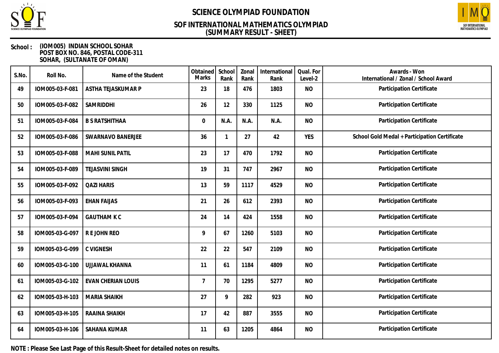

### **(SUMMARY RESULT - SHEET) SOF INTERNATIONAL MATHEMATICS OLYMPIAD**



#### **School : (IOM005) INDIAN SCHOOL SOHAR POST BOX NO. 846, POSTAL CODE-311 SOHAR, (SULTANATE OF OMAN)**

| S.No. | Roll No.        | Name of the Student       | Obtained<br>Marks | School<br>Rank | Zonal<br>Rank | International<br>Rank | Qual. For<br>Level-2 | Awards - Won<br>International / Zonal / School Award |
|-------|-----------------|---------------------------|-------------------|----------------|---------------|-----------------------|----------------------|------------------------------------------------------|
| 49    | IOM005-03-F-081 | ASTHA TEJASKUMAR P        | 23                | 18             | 476           | 1803                  | <b>NO</b>            | Participation Certificate                            |
| 50    | IOM005-03-F-082 | SAMRIDDHI                 | 26                | 12             | 330           | 1125                  | <b>NO</b>            | Participation Certificate                            |
| 51    | IOM005-03-F-084 | <b>B S RATSHITHAA</b>     | 0                 | N.A.           | N.A.          | N.A.                  | <b>NO</b>            | Participation Certificate                            |
| 52    | IOM005-03-F-086 | SWARNAVO BANERJEE         | 36                | 1              | 27            | 42                    | <b>YES</b>           | School Gold Medal + Participation Certificate        |
| 53    | IOM005-03-F-088 | MAHI SUNIL PATIL          | 23                | 17             | 470           | 1792                  | <b>NO</b>            | Participation Certificate                            |
| 54    | IOM005-03-F-089 | <b>TEJASVINI SINGH</b>    | 19                | 31             | 747           | 2967                  | <b>NO</b>            | Participation Certificate                            |
| 55    | IOM005-03-F-092 | <b>QAZI HARIS</b>         | 13                | 59             | 1117          | 4529                  | <b>NO</b>            | Participation Certificate                            |
| 56    | IOM005-03-F-093 | <b>EHAN FAIJAS</b>        | 21                | 26             | 612           | 2393                  | <b>NO</b>            | Participation Certificate                            |
| 57    | IOM005-03-F-094 | <b>GAUTHAM K C</b>        | 24                | 14             | 424           | 1558                  | <b>NO</b>            | Participation Certificate                            |
| 58    | IOM005-03-G-097 | R E JOHN REO              | 9                 | 67             | 1260          | 5103                  | <b>NO</b>            | Participation Certificate                            |
| 59    | IOM005-03-G-099 | <b>C VIGNESH</b>          | 22                | 22             | 547           | 2109                  | <b>NO</b>            | Participation Certificate                            |
| 60    | IOM005-03-G-100 | UJJAWAL KHANNA            | 11                | 61             | 1184          | 4809                  | <b>NO</b>            | Participation Certificate                            |
| 61    | IOM005-03-G-102 | <b>EVAN CHERIAN LOUIS</b> | $\overline{7}$    | 70             | 1295          | 5277                  | <b>NO</b>            | Participation Certificate                            |
| 62    | IOM005-03-H-103 | <b>MARIA SHAIKH</b>       | 27                | 9              | 282           | 923                   | <b>NO</b>            | Participation Certificate                            |
| 63    | IOM005-03-H-105 | RAAINA SHAIKH             | 17                | 42             | 887           | 3555                  | <b>NO</b>            | Participation Certificate                            |
| 64    | IOM005-03-H-106 | <b>SAHANA KUMAR</b>       | 11                | 63             | 1205          | 4864                  | <b>NO</b>            | Participation Certificate                            |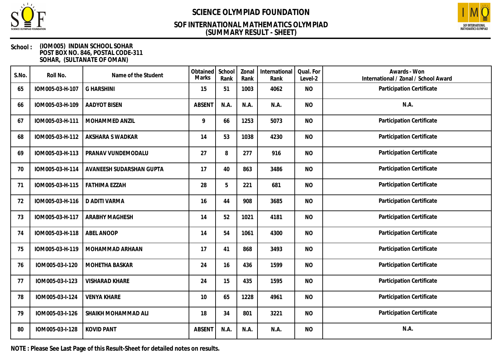

## **(SUMMARY RESULT - SHEET) SOF INTERNATIONAL MATHEMATICS OLYMPIAD**



#### **School : (IOM005) INDIAN SCHOOL SOHAR POST BOX NO. 846, POSTAL CODE-311 SOHAR, (SULTANATE OF OMAN)**

| S.No. | Roll No.        | Name of the Student      | Obtained<br><b>Marks</b> | School<br>Rank | Zonal<br>Rank | International<br>Rank | Qual. For<br>Level-2 | Awards - Won<br>International / Zonal / School Award |
|-------|-----------------|--------------------------|--------------------------|----------------|---------------|-----------------------|----------------------|------------------------------------------------------|
| 65    | IOM005-03-H-107 | <b>G HARSHINI</b>        | 15                       | 51             | 1003          | 4062                  | <b>NO</b>            | Participation Certificate                            |
| 66    | IOM005-03-H-109 | <b>AADYOT BISEN</b>      | <b>ABSENT</b>            | N.A.           | N.A.          | N.A.                  | <b>NO</b>            | N.A.                                                 |
| 67    | IOM005-03-H-111 | MOHAMMED ANZIL           | 9                        | 66             | 1253          | 5073                  | <b>NO</b>            | Participation Certificate                            |
| 68    | IOM005-03-H-112 | AKSHARA S WADKAR         | 14                       | 53             | 1038          | 4230                  | <b>NO</b>            | Participation Certificate                            |
| 69    | IOM005-03-H-113 | PRANAV VUNDEMODALU       | 27                       | 8              | 277           | 916                   | <b>NO</b>            | Participation Certificate                            |
| 70    | IOM005-03-H-114 | AVANEESH SUDARSHAN GUPTA | 17                       | 40             | 863           | 3486                  | <b>NO</b>            | Participation Certificate                            |
| 71    | IOM005-03-H-115 | <b>FATHIMA EZZAH</b>     | 28                       | 5              | 221           | 681                   | <b>NO</b>            | Participation Certificate                            |
| 72    | IOM005-03-H-116 | D ADITI VARMA            | 16                       | 44             | 908           | 3685                  | <b>NO</b>            | Participation Certificate                            |
| 73    | IOM005-03-H-117 | <b>ARABHY MAGHESH</b>    | 14                       | 52             | 1021          | 4181                  | <b>NO</b>            | Participation Certificate                            |
| 74    | IOM005-03-H-118 | <b>ABEL ANOOP</b>        | 14                       | 54             | 1061          | 4300                  | <b>NO</b>            | Participation Certificate                            |
| 75    | IOM005-03-H-119 | MOHAMMAD ARHAAN          | 17                       | 41             | 868           | 3493                  | <b>NO</b>            | Participation Certificate                            |
| 76    | IOM005-03-I-120 | MOHETHA BASKAR           | 24                       | 16             | 436           | 1599                  | <b>NO</b>            | Participation Certificate                            |
| 77    | IOM005-03-I-123 | <b>VISHARAD KHARE</b>    | 24                       | 15             | 435           | 1595                  | <b>NO</b>            | Participation Certificate                            |
| 78    | IOM005-03-I-124 | <b>VENYA KHARE</b>       | 10                       | 65             | 1228          | 4961                  | <b>NO</b>            | Participation Certificate                            |
| 79    | IOM005-03-I-126 | SHAIKH MOHAMMAD ALI      | 18                       | 34             | 801           | 3221                  | <b>NO</b>            | Participation Certificate                            |
| 80    | IOM005-03-I-128 | <b>KOVID PANT</b>        | <b>ABSENT</b>            | N.A.           | N.A.          | N.A.                  | <b>NO</b>            | N.A.                                                 |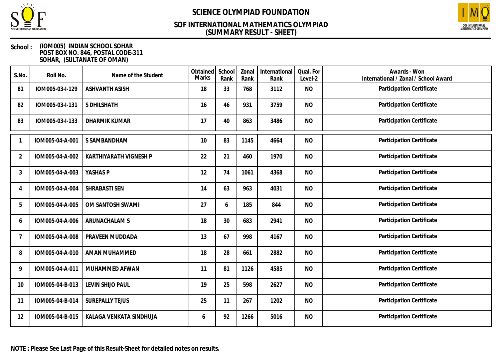

### **(SUMMARY RESULT - SHEET) SOF INTERNATIONAL MATHEMATICS OLYMPIAD**



#### **School : (IOM005) INDIAN SCHOOL SOHAR POST BOX NO. 846, POSTAL CODE-311 SOHAR, (SULTANATE OF OMAN)**

| S.No.          | Roll No.        | Name of the Student     | Obtained<br>Marks | School<br>Rank | Zonal<br>Rank | International<br>Rank | Qual. For<br>Level-2 | Awards - Won<br>International / Zonal / School Award |
|----------------|-----------------|-------------------------|-------------------|----------------|---------------|-----------------------|----------------------|------------------------------------------------------|
| 81             | IOM005-03-I-129 | <b>ASHVANTH ASISH</b>   | 18                | 33             | 768           | 3112                  | <b>NO</b>            | Participation Certificate                            |
| 82             | IOM005-03-I-131 | S DHILSHATH             | 16                | 46             | 931           | 3759                  | <b>NO</b>            | Participation Certificate                            |
| 83             | IOM005-03-I-133 | <b>DHARMIK KUMAR</b>    | 17                | 40             | 863           | 3486                  | <b>NO</b>            | Participation Certificate                            |
|                | IOM005-04-A-001 | S SAMBANDHAM            | 10                | 83             | 1145          | 4664                  | <b>NO</b>            | Participation Certificate                            |
| $\overline{2}$ | IOM005-04-A-002 | KARTHIYARATH VIGNESH P  | 22                | 21             | 460           | 1970                  | <b>NO</b>            | Participation Certificate                            |
| 3              | IOM005-04-A-003 | YASHAS P                | 12                | 74             | 1061          | 4368                  | <b>NO</b>            | Participation Certificate                            |
| 4              | IOM005-04-A-004 | SHRABASTI SEN           | 14                | 63             | 963           | 4031                  | <b>NO</b>            | Participation Certificate                            |
| 5              | IOM005-04-A-005 | OM SANTOSH SWAMI        | 27                | 6              | 185           | 844                   | <b>NO</b>            | Participation Certificate                            |
| 6              | IOM005-04-A-006 | ARUNACHALAM S           | 18                | 30             | 683           | 2941                  | <b>NO</b>            | Participation Certificate                            |
| $\overline{7}$ | IOM005-04-A-008 | PRAVEEN MUDDADA         | 13                | 67             | 998           | 4167                  | <b>NO</b>            | Participation Certificate                            |
| 8              | IOM005-04-A-010 | AMAN MUHAMMED           | 18                | 28             | 661           | 2882                  | <b>NO</b>            | Participation Certificate                            |
| 9              | IOM005-04-A-011 | MUHAMMED AFWAN          | 11                | 81             | 1126          | 4585                  | <b>NO</b>            | Participation Certificate                            |
| 10             | IOM005-04-B-013 | LEVIN SHIJO PAUL        | 19                | 25             | 598           | 2627                  | <b>NO</b>            | Participation Certificate                            |
| 11             | IOM005-04-B-014 | <b>SUREPALLY TEJUS</b>  | 25                | 11             | 267           | 1202                  | <b>NO</b>            | Participation Certificate                            |
| 12             | IOM005-04-B-015 | KALAGA VENKATA SINDHUJA | 6                 | 92             | 1266          | 5016                  | <b>NO</b>            | Participation Certificate                            |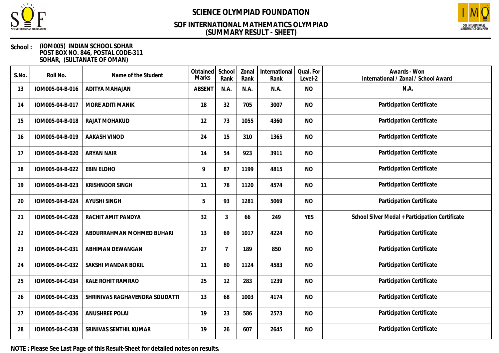

### **(SUMMARY RESULT - SHEET) SOF INTERNATIONAL MATHEMATICS OLYMPIAD**



#### **School : (IOM005) INDIAN SCHOOL SOHAR POST BOX NO. 846, POSTAL CODE-311 SOHAR, (SULTANATE OF OMAN)**

| S.No. | Roll No.        | Name of the Student            | Obtained<br>Marks | School<br>Rank | Zonal<br>Rank | International<br>Rank | Qual. For<br>Level-2 | Awards - Won<br>International / Zonal / School Award |
|-------|-----------------|--------------------------------|-------------------|----------------|---------------|-----------------------|----------------------|------------------------------------------------------|
| 13    | IOM005-04-B-016 | ADITYA MAHAJAN                 | <b>ABSENT</b>     | N.A.           | N.A.          | N.A.                  | <b>NO</b>            | N.A.                                                 |
| 14    | IOM005-04-B-017 | MORE ADITI MANIK               | 18                | 32             | 705           | 3007                  | <b>NO</b>            | Participation Certificate                            |
| 15    | IOM005-04-B-018 | RAJAT MOHAKUD                  | 12                | 73             | 1055          | 4360                  | <b>NO</b>            | Participation Certificate                            |
| 16    | IOM005-04-B-019 | AAKASH VINOD                   | 24                | 15             | 310           | 1365                  | <b>NO</b>            | Participation Certificate                            |
| 17    | IOM005-04-B-020 | <b>ARYAN NAIR</b>              | 14                | 54             | 923           | 3911                  | <b>NO</b>            | Participation Certificate                            |
| 18    | IOM005-04-B-022 | <b>EBIN ELDHO</b>              | 9                 | 87             | 1199          | 4815                  | <b>NO</b>            | Participation Certificate                            |
| 19    | IOM005-04-B-023 | <b>KRISHNOOR SINGH</b>         | 11                | 78             | 1120          | 4574                  | <b>NO</b>            | Participation Certificate                            |
| 20    | IOM005-04-B-024 | <b>AYUSHI SINGH</b>            | 5                 | 93             | 1281          | 5069                  | <b>NO</b>            | Participation Certificate                            |
| 21    | IOM005-04-C-028 | RACHIT AMIT PANDYA             | 32                | 3              | 66            | 249                   | <b>YES</b>           | School Silver Medal + Participation Certificate      |
| 22    | IOM005-04-C-029 | ABDURRAHMAN MOHMED BUHARI      | 13                | 69             | 1017          | 4224                  | <b>NO</b>            | Participation Certificate                            |
| 23    | IOM005-04-C-031 | ABHIMAN DEWANGAN               | 27                | 7              | 189           | 850                   | <b>NO</b>            | Participation Certificate                            |
| 24    | IOM005-04-C-032 | <b>SAKSHI MANDAR BOKIL</b>     | 11                | 80             | 1124          | 4583                  | <b>NO</b>            | Participation Certificate                            |
| 25    | IOM005-04-C-034 | KALE ROHIT RAMRAO              | 25                | 12             | 283           | 1239                  | <b>NO</b>            | Participation Certificate                            |
| 26    | IOM005-04-C-035 | SHRINIVAS RAGHAVENDRA SOUDATTI | 13                | 68             | 1003          | 4174                  | <b>NO</b>            | Participation Certificate                            |
| 27    | IOM005-04-C-036 | <b>ANUSHREE POLAI</b>          | 19                | 23             | 586           | 2573                  | <b>NO</b>            | Participation Certificate                            |
| 28    | IOM005-04-C-038 | SRINIVAS SENTHIL KUMAR         | 19                | 26             | 607           | 2645                  | <b>NO</b>            | Participation Certificate                            |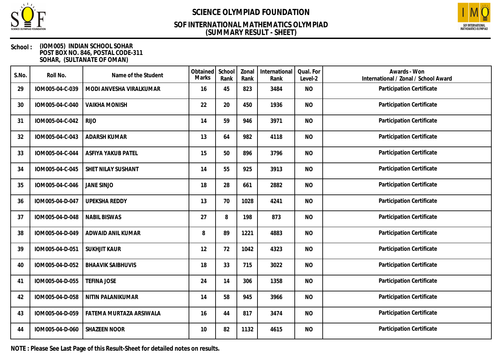

### **(SUMMARY RESULT - SHEET) SOF INTERNATIONAL MATHEMATICS OLYMPIAD**



#### **School : (IOM005) INDIAN SCHOOL SOHAR POST BOX NO. 846, POSTAL CODE-311 SOHAR, (SULTANATE OF OMAN)**

| S.No. | Roll No.        | Name of the Student      | Obtained<br>Marks | School<br>Rank | Zonal<br>Rank | International<br>Rank | Qual. For<br>Level-2 | Awards - Won<br>International / Zonal / School Award |
|-------|-----------------|--------------------------|-------------------|----------------|---------------|-----------------------|----------------------|------------------------------------------------------|
| 29    | IOM005-04-C-039 | MODI ANVESHA VIRALKUMAR  | 16                | 45             | 823           | 3484                  | <b>NO</b>            | Participation Certificate                            |
| 30    | IOM005-04-C-040 | <b>VAIKHA MONISH</b>     | 22                | 20             | 450           | 1936                  | <b>NO</b>            | Participation Certificate                            |
| 31    | IOM005-04-C-042 | <b>RIJO</b>              | 14                | 59             | 946           | 3971                  | <b>NO</b>            | Participation Certificate                            |
| 32    | IOM005-04-C-043 | <b>ADARSH KUMAR</b>      | 13                | 64             | 982           | 4118                  | <b>NO</b>            | Participation Certificate                            |
| 33    | IOM005-04-C-044 | ASFIYA YAKUB PATEL       | 15                | 50             | 896           | 3796                  | <b>NO</b>            | Participation Certificate                            |
| 34    | IOM005-04-C-045 | SHET NILAY SUSHANT       | 14                | 55             | 925           | 3913                  | <b>NO</b>            | Participation Certificate                            |
| 35    | IOM005-04-C-046 | <b>JANE SINJO</b>        | 18                | 28             | 661           | 2882                  | <b>NO</b>            | Participation Certificate                            |
| 36    | IOM005-04-D-047 | <b>UPEKSHA REDDY</b>     | 13                | 70             | 1028          | 4241                  | <b>NO</b>            | Participation Certificate                            |
| 37    | IOM005-04-D-048 | <b>NABIL BISWAS</b>      | 27                | 8              | 198           | 873                   | <b>NO</b>            | Participation Certificate                            |
| 38    | IOM005-04-D-049 | ADWAID ANIL KUMAR        | 8                 | 89             | 1221          | 4883                  | <b>NO</b>            | Participation Certificate                            |
| 39    | IOM005-04-D-051 | <b>SUKHJIT KAUR</b>      | 12                | 72             | 1042          | 4323                  | <b>NO</b>            | Participation Certificate                            |
| 40    | IOM005-04-D-052 | <b>BHAAVIK SAIBHUVIS</b> | 18                | 33             | 715           | 3022                  | <b>NO</b>            | Participation Certificate                            |
| 41    | IOM005-04-D-055 | <b>TEFINA JOSE</b>       | 24                | 14             | 306           | 1358                  | <b>NO</b>            | Participation Certificate                            |
| 42    | IOM005-04-D-058 | NITIN PALANIKUMAR        | 14                | 58             | 945           | 3966                  | <b>NO</b>            | Participation Certificate                            |
| 43    | IOM005-04-D-059 | FATEMA MURTAZA ARSIWALA  | 16                | 44             | 817           | 3474                  | <b>NO</b>            | Participation Certificate                            |
| 44    | IOM005-04-D-060 | <b>SHAZEEN NOOR</b>      | 10                | 82             | 1132          | 4615                  | <b>NO</b>            | Participation Certificate                            |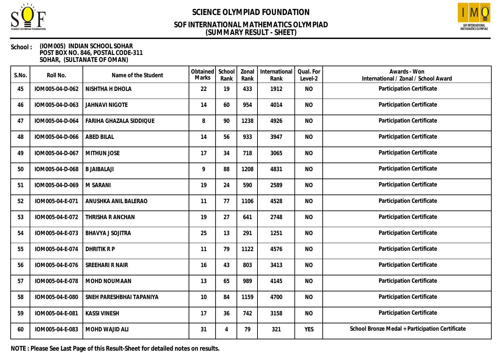

### **(SUMMARY RESULT - SHEET) SOF INTERNATIONAL MATHEMATICS OLYMPIAD**



#### **School : (IOM005) INDIAN SCHOOL SOHAR POST BOX NO. 846, POSTAL CODE-311 SOHAR, (SULTANATE OF OMAN)**

| S.No. | Roll No.        | Name of the Student      | Obtained<br><b>Marks</b> | School<br>Rank | Zonal<br>Rank | International<br>Rank | Qual. For<br>Level-2 | Awards - Won<br>International / Zonal / School Award |
|-------|-----------------|--------------------------|--------------------------|----------------|---------------|-----------------------|----------------------|------------------------------------------------------|
| 45    | IOM005-04-D-062 | NISHTHA H DHOLA          | 22                       | 19             | 433           | 1912                  | <b>NO</b>            | Participation Certificate                            |
| 46    | IOM005-04-D-063 | <b>JAHNAVI NIGOTE</b>    | 14                       | 60             | 954           | 4014                  | <b>NO</b>            | Participation Certificate                            |
| 47    | IOM005-04-D-064 | FARIHA GHAZALA SIDDIQUE  | 8                        | 90             | 1238          | 4926                  | <b>NO</b>            | Participation Certificate                            |
| 48    | IOM005-04-D-066 | <b>ABED BILAL</b>        | 14                       | 56             | 933           | 3947                  | <b>NO</b>            | Participation Certificate                            |
| 49    | IOM005-04-D-067 | <b>MITHUN JOSE</b>       | 17                       | 34             | 718           | 3065                  | <b>NO</b>            | Participation Certificate                            |
| 50    | IOM005-04-D-068 | <b>B JAIBALAJI</b>       | 9                        | 88             | 1208          | 4831                  | <b>NO</b>            | Participation Certificate                            |
| 51    | IOM005-04-D-069 | M SARANI                 | 19                       | 24             | 590           | 2589                  | <b>NO</b>            | Participation Certificate                            |
| 52    | IOM005-04-E-071 | ANUSHKA ANIL BALERAO     | 11                       | 77             | 1106          | 4528                  | <b>NO</b>            | Participation Certificate                            |
| 53    | IOM005-04-E-072 | THRISHA R ANCHAN         | 19                       | 27             | 641           | 2748                  | <b>NO</b>            | Participation Certificate                            |
| 54    | IOM005-04-E-073 | <b>BHAVYA J SOJITRA</b>  | 25                       | 13             | 291           | 1251                  | <b>NO</b>            | Participation Certificate                            |
| 55    | IOM005-04-E-074 | <b>DHRITIK RP</b>        | 11                       | 79             | 1122          | 4576                  | <b>NO</b>            | Participation Certificate                            |
| 56    | IOM005-04-E-076 | SREEHARI R NAIR          | 16                       | 43             | 803           | 3413                  | <b>NO</b>            | Participation Certificate                            |
| 57    | IOM005-04-E-078 | MOHD NOUMAAN             | 13                       | 65             | 989           | 4145                  | <b>NO</b>            | Participation Certificate                            |
| 58    | IOM005-04-E-080 | SNEH PARESHBHAI TAPANIYA | 10                       | 84             | 1159          | 4700                  | <b>NO</b>            | Participation Certificate                            |
| 59    | IOM005-04-E-081 | <b>KASSI VINESH</b>      | 17                       | 36             | 742           | 3158                  | <b>NO</b>            | Participation Certificate                            |
| 60    | IOM005-04-E-083 | MOHD WAJID ALI           | 31                       | 4              | 79            | 321                   | <b>YES</b>           | School Bronze Medal + Participation Certificate      |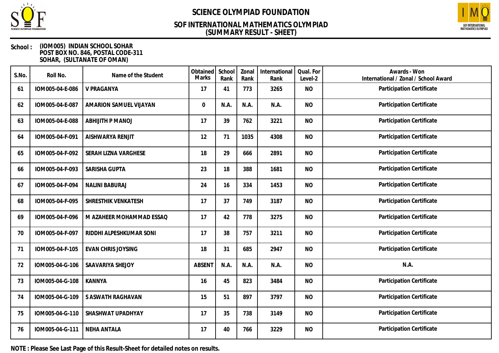

### **(SUMMARY RESULT - SHEET) SOF INTERNATIONAL MATHEMATICS OLYMPIAD**



#### **School : (IOM005) INDIAN SCHOOL SOHAR POST BOX NO. 846, POSTAL CODE-311 SOHAR, (SULTANATE OF OMAN)**

| S.No. | Roll No.        | Name of the Student       | Obtained<br><b>Marks</b> | School<br>Rank | Zonal<br>Rank | International<br>Rank | Qual. For<br>Level-2 | Awards - Won<br>International / Zonal / School Award |
|-------|-----------------|---------------------------|--------------------------|----------------|---------------|-----------------------|----------------------|------------------------------------------------------|
| 61    | IOM005-04-E-086 | V PRAGANYA                | 17                       | 41             | 773           | 3265                  | <b>NO</b>            | Participation Certificate                            |
| 62    | IOM005-04-E-087 | AMARION SAMUEL VIJAYAN    | $\mathbf 0$              | N.A.           | N.A.          | N.A.                  | <b>NO</b>            | Participation Certificate                            |
| 63    | IOM005-04-E-088 | <b>ABHIJITH P MANOJ</b>   | 17                       | 39             | 762           | 3221                  | <b>NO</b>            | Participation Certificate                            |
| 64    | IOM005-04-F-091 | AISHWARYA RENJIT          | 12                       | 71             | 1035          | 4308                  | <b>NO</b>            | Participation Certificate                            |
| 65    | IOM005-04-F-092 | SERAH LIZNA VARGHESE      | 18                       | 29             | 666           | 2891                  | <b>NO</b>            | Participation Certificate                            |
| 66    | IOM005-04-F-093 | SARISHA GUPTA             | 23                       | 18             | 388           | 1681                  | <b>NO</b>            | Participation Certificate                            |
| 67    | IOM005-04-F-094 | <b>NALINI BABURAJ</b>     | 24                       | 16             | 334           | 1453                  | <b>NO</b>            | Participation Certificate                            |
| 68    | IOM005-04-F-095 | SHRESTHIK VENKATESH       | 17                       | 37             | 749           | 3187                  | <b>NO</b>            | Participation Certificate                            |
| 69    | IOM005-04-F-096 | M AZAHEER MOHAMMAD ESSAQ  | 17                       | 42             | 778           | 3275                  | <b>NO</b>            | Participation Certificate                            |
| 70    | IOM005-04-F-097 | RIDDHI ALPESHKUMAR SONI   | 17                       | 38             | 757           | 3211                  | <b>NO</b>            | Participation Certificate                            |
| 71    | IOM005-04-F-105 | <b>EVAN CHRIS JOYSING</b> | 18                       | 31             | 685           | 2947                  | <b>NO</b>            | Participation Certificate                            |
| 72    | IOM005-04-G-106 | SAAVARIYA SHEJOY          | <b>ABSENT</b>            | N.A.           | N.A.          | N.A.                  | <b>NO</b>            | N.A.                                                 |
| 73    | IOM005-04-G-108 | <b>KANNYA</b>             | 16                       | 45             | 823           | 3484                  | <b>NO</b>            | Participation Certificate                            |
| 74    | IOM005-04-G-109 | S ASWATH RAGHAVAN         | 15                       | 51             | 897           | 3797                  | <b>NO</b>            | Participation Certificate                            |
| 75    | IOM005-04-G-110 | SHASHWAT UPADHYAY         | 17                       | 35             | 738           | 3149                  | <b>NO</b>            | Participation Certificate                            |
| 76    | IOM005-04-G-111 | <b>NEHA ANTALA</b>        | 17                       | 40             | 766           | 3229                  | <b>NO</b>            | Participation Certificate                            |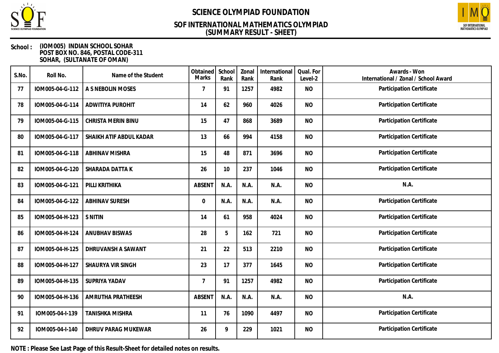

### **(SUMMARY RESULT - SHEET) SOF INTERNATIONAL MATHEMATICS OLYMPIAD**



#### **School : (IOM005) INDIAN SCHOOL SOHAR POST BOX NO. 846, POSTAL CODE-311 SOHAR, (SULTANATE OF OMAN)**

| S.No. | Roll No.        | Name of the Student        | Obtained<br>Marks | School<br>Rank | Zonal<br>Rank | International<br>Rank | Qual. For<br>Level-2 | Awards - Won<br>International / Zonal / School Award |
|-------|-----------------|----------------------------|-------------------|----------------|---------------|-----------------------|----------------------|------------------------------------------------------|
| 77    | IOM005-04-G-112 | A S NEBOLIN MOSES          | $\overline{7}$    | 91             | 1257          | 4982                  | <b>NO</b>            | Participation Certificate                            |
| 78    | IOM005-04-G-114 | <b>ADWITIYA PUROHIT</b>    | 14                | 62             | 960           | 4026                  | <b>NO</b>            | Participation Certificate                            |
| 79    | IOM005-04-G-115 | CHRISTA MERIN BINU         | 15                | 47             | 868           | 3689                  | <b>NO</b>            | Participation Certificate                            |
| 80    | IOM005-04-G-117 | SHAIKH ATIF ABDUL KADAR    | 13                | 66             | 994           | 4158                  | <b>NO</b>            | Participation Certificate                            |
| 81    | IOM005-04-G-118 | <b>ABHINAV MISHRA</b>      | 15                | 48             | 871           | 3696                  | <b>NO</b>            | Participation Certificate                            |
| 82    | IOM005-04-G-120 | SHARADA DATTA K            | 26                | 10             | 237           | 1046                  | <b>NO</b>            | Participation Certificate                            |
| 83    | IOM005-04-G-121 | PILLI KRITHIKA             | <b>ABSENT</b>     | N.A.           | N.A.          | N.A.                  | <b>NO</b>            | N.A.                                                 |
| 84    | IOM005-04-G-122 | <b>ABHINAV SURESH</b>      | $\boldsymbol{0}$  | N.A.           | N.A.          | N.A.                  | <b>NO</b>            | Participation Certificate                            |
| 85    | IOM005-04-H-123 | S NITIN                    | 14                | 61             | 958           | 4024                  | <b>NO</b>            | Participation Certificate                            |
| 86    | IOM005-04-H-124 | ANUBHAV BISWAS             | 28                | 5              | 162           | 721                   | <b>NO</b>            | Participation Certificate                            |
| 87    | IOM005-04-H-125 | DHRUVANSH A SAWANT         | 21                | 22             | 513           | 2210                  | <b>NO</b>            | Participation Certificate                            |
| 88    | IOM005-04-H-127 | SHAURYA VIR SINGH          | 23                | 17             | 377           | 1645                  | <b>NO</b>            | Participation Certificate                            |
| 89    | IOM005-04-H-135 | SUPRIYA YADAV              | $\overline{7}$    | 91             | 1257          | 4982                  | <b>NO</b>            | Participation Certificate                            |
| 90    | IOM005-04-H-136 | AMRUTHA PRATHEESH          | <b>ABSENT</b>     | N.A.           | N.A.          | N.A.                  | <b>NO</b>            | N.A.                                                 |
| 91    | IOM005-04-I-139 | <b>TANISHKA MISHRA</b>     | 11                | 76             | 1090          | 4497                  | <b>NO</b>            | Participation Certificate                            |
| 92    | IOM005-04-I-140 | <b>DHRUV PARAG MUKEWAR</b> | 26                | 9              | 229           | 1021                  | <b>NO</b>            | Participation Certificate                            |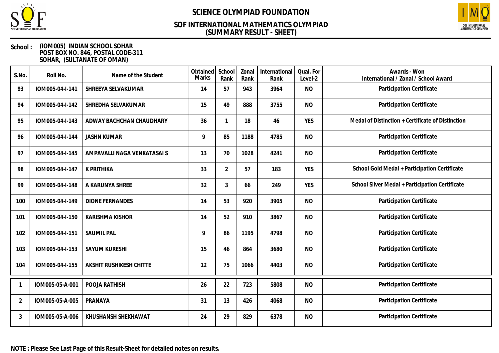

### **(SUMMARY RESULT - SHEET) SOF INTERNATIONAL MATHEMATICS OLYMPIAD**



#### **School : (IOM005) INDIAN SCHOOL SOHAR POST BOX NO. 846, POSTAL CODE-311 SOHAR, (SULTANATE OF OMAN)**

| S.No. | Roll No.        | Name of the Student            | Obtained<br><b>Marks</b> | School<br>Rank | Zonal<br>Rank | International<br>Rank | Qual. For<br>Level-2 | Awards - Won<br>International / Zonal / School Award |
|-------|-----------------|--------------------------------|--------------------------|----------------|---------------|-----------------------|----------------------|------------------------------------------------------|
| 93    | IOM005-04-I-141 | SHREEYA SELVAKUMAR             | 14                       | 57             | 943           | 3964                  | <b>NO</b>            | Participation Certificate                            |
| 94    | IOM005-04-I-142 | SHREDHA SELVAKUMAR             | 15                       | 49             | 888           | 3755                  | <b>NO</b>            | Participation Certificate                            |
| 95    | IOM005-04-I-143 | ADWAY BACHCHAN CHAUDHARY       | 36                       | 1              | 18            | 46                    | <b>YES</b>           | Medal of Distinction + Certificate of Distinction    |
| 96    | IOM005-04-I-144 | <b>JASHN KUMAR</b>             | 9                        | 85             | 1188          | 4785                  | <b>NO</b>            | Participation Certificate                            |
| 97    | IOM005-04-I-145 | AMPAVALLI NAGA VENKATASAI S    | 13                       | 70             | 1028          | 4241                  | <b>NO</b>            | Participation Certificate                            |
| 98    | IOM005-04-I-147 | K PRITHIKA                     | 33                       | $\overline{2}$ | 57            | 183                   | <b>YES</b>           | School Gold Medal + Participation Certificate        |
| 99    | IOM005-04-I-148 | A KARUNYA SHREE                | 32                       | 3              | 66            | 249                   | <b>YES</b>           | School Silver Medal + Participation Certificate      |
| 100   | IOM005-04-I-149 | <b>DIONE FERNANDES</b>         | 14                       | 53             | 920           | 3905                  | <b>NO</b>            | Participation Certificate                            |
| 101   | IOM005-04-I-150 | <b>KARISHMA KISHOR</b>         | 14                       | 52             | 910           | 3867                  | <b>NO</b>            | Participation Certificate                            |
| 102   | IOM005-04-I-151 | <b>SAUMIL PAL</b>              | 9                        | 86             | 1195          | 4798                  | <b>NO</b>            | Participation Certificate                            |
| 103   | IOM005-04-I-153 | <b>SAYUM KURESHI</b>           | 15                       | 46             | 864           | 3680                  | <b>NO</b>            | Participation Certificate                            |
| 104   | IOM005-04-I-155 | <b>AKSHIT RUSHIKESH CHITTE</b> | 12                       | 75             | 1066          | 4403                  | <b>NO</b>            | Participation Certificate                            |
|       | IOM005-05-A-001 | POOJA RATHISH                  | 26                       | 22             | 723           | 5808                  | <b>NO</b>            | Participation Certificate                            |
| 2     | IOM005-05-A-005 | PRANAYA                        | 31                       | 13             | 426           | 4068                  | <b>NO</b>            | Participation Certificate                            |
| 3     | IOM005-05-A-006 | KHUSHANSH SHEKHAWAT            | 24                       | 29             | 829           | 6378                  | <b>NO</b>            | Participation Certificate                            |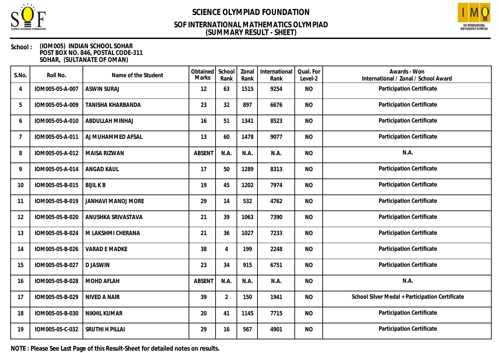

### **(SUMMARY RESULT - SHEET) SOF INTERNATIONAL MATHEMATICS OLYMPIAD**



#### **School : (IOM005) INDIAN SCHOOL SOHAR POST BOX NO. 846, POSTAL CODE-311 SOHAR, (SULTANATE OF OMAN)**

| S.No.          | Roll No.        | Name of the Student       | Obtained<br>Marks | School<br>Rank | Zonal<br>Rank | International<br>Rank | Qual. For<br>Level-2 | Awards - Won<br>International / Zonal / School Award |
|----------------|-----------------|---------------------------|-------------------|----------------|---------------|-----------------------|----------------------|------------------------------------------------------|
| $\overline{4}$ | IOM005-05-A-007 | <b>ASWIN SURAJ</b>        | 12                | 63             | 1515          | 9254                  | <b>NO</b>            | Participation Certificate                            |
| 5              | IOM005-05-A-009 | <b>TANISHA KHARBANDA</b>  | 23                | 32             | 897           | 6676                  | <b>NO</b>            | Participation Certificate                            |
| 6              | IOM005-05-A-010 | ABDULLAH MINHAJ           | 16                | 51             | 1341          | 8523                  | <b>NO</b>            | Participation Certificate                            |
| 7              | IOM005-05-A-011 | AJ MUHAMMED AFSAL         | 13                | 60             | 1478          | 9077                  | <b>NO</b>            | Participation Certificate                            |
| 8              | IOM005-05-A-012 | <b>MAISA RIZWAN</b>       | ABSENT            | N.A.           | N.A.          | N.A.                  | <b>NO</b>            | N.A.                                                 |
| 9              | IOM005-05-A-014 | <b>ANGAD KAUL</b>         | 17                | 50             | 1289          | 8313                  | <b>NO</b>            | Participation Certificate                            |
| 10             | IOM005-05-B-015 | <b>BIJIL K B</b>          | 19                | 45             | 1202          | 7974                  | <b>NO</b>            | Participation Certificate                            |
| 11             | IOM005-05-B-019 | <b>JANHAVI MANOJ MORE</b> | 29                | 14             | 532           | 4762                  | <b>NO</b>            | Participation Certificate                            |
| 12             | IOM005-05-B-020 | ANUSHKA SRIVASTAVA        | 21                | 39             | 1063          | 7390                  | <b>NO</b>            | Participation Certificate                            |
| 13             | IOM005-05-B-024 | M LAKSHMI CHERANA         | 21                | 36             | 1027          | 7233                  | <b>NO</b>            | Participation Certificate                            |
| 14             | IOM005-05-B-026 | <b>VARAD E MADKE</b>      | 38                | 4              | 199           | 2248                  | <b>NO</b>            | Participation Certificate                            |
| 15             | IOM005-05-B-027 | <b>DJASWIN</b>            | 23                | 34             | 915           | 6751                  | <b>NO</b>            | Participation Certificate                            |
| 16             | IOM005-05-B-028 | <b>MOHD AFLAH</b>         | <b>ABSENT</b>     | N.A.           | N.A.          | N.A.                  | <b>NO</b>            | N.A.                                                 |
| 17             | IOM005-05-B-029 | NIVED A NAIR              | 39                | $\overline{2}$ | 150           | 1941                  | <b>NO</b>            | School Silver Medal + Participation Certificate      |
| 18             | IOM005-05-B-030 | <b>NIKHIL KUMAR</b>       | 20                | 41             | 1145          | 7715                  | <b>NO</b>            | Participation Certificate                            |
| 19             | IOM005-05-C-032 | SRUTHI H PILLAI           | 29                | 16             | 567           | 4901                  | <b>NO</b>            | Participation Certificate                            |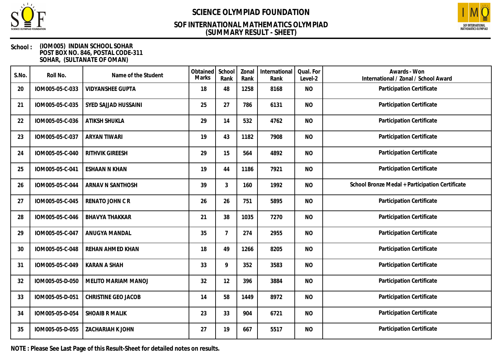

### **(SUMMARY RESULT - SHEET) SOF INTERNATIONAL MATHEMATICS OLYMPIAD**



#### **School : (IOM005) INDIAN SCHOOL SOHAR POST BOX NO. 846, POSTAL CODE-311 SOHAR, (SULTANATE OF OMAN)**

| S.No. | Roll No.        | Name of the Student        | Obtained<br>Marks | School<br>Rank | Zonal<br>Rank | International<br>Rank | Qual. For<br>Level-2 | Awards - Won<br>International / Zonal / School Award |
|-------|-----------------|----------------------------|-------------------|----------------|---------------|-----------------------|----------------------|------------------------------------------------------|
| 20    | IOM005-05-C-033 | <b>VIDYANSHEE GUPTA</b>    | 18                | 48             | 1258          | 8168                  | <b>NO</b>            | Participation Certificate                            |
| 21    | IOM005-05-C-035 | SYED SAJJAD HUSSAINI       | 25                | 27             | 786           | 6131                  | <b>NO</b>            | Participation Certificate                            |
| 22    | IOM005-05-C-036 | ATIKSH SHUKLA              | 29                | 14             | 532           | 4762                  | <b>NO</b>            | Participation Certificate                            |
| 23    | IOM005-05-C-037 | <b>ARYAN TIWARI</b>        | 19                | 43             | 1182          | 7908                  | <b>NO</b>            | Participation Certificate                            |
| 24    | IOM005-05-C-040 | <b>RITHVIK GIREESH</b>     | 29                | 15             | 564           | 4892                  | <b>NO</b>            | Participation Certificate                            |
| 25    | IOM005-05-C-041 | <b>ESHAAN N KHAN</b>       | 19                | 44             | 1186          | 7921                  | <b>NO</b>            | Participation Certificate                            |
| 26    | IOM005-05-C-044 | ARNAV N SANTHOSH           | 39                | 3              | 160           | 1992                  | <b>NO</b>            | School Bronze Medal + Participation Certificate      |
| 27    | IOM005-05-C-045 | RENATO JOHN CR             | 26                | 26             | 751           | 5895                  | <b>NO</b>            | Participation Certificate                            |
| 28    | IOM005-05-C-046 | <b>BHAVYA THAKKAR</b>      | 21                | 38             | 1035          | 7270                  | <b>NO</b>            | Participation Certificate                            |
| 29    | IOM005-05-C-047 | ANUGYA MANDAL              | 35                | $\overline{7}$ | 274           | 2955                  | <b>NO</b>            | Participation Certificate                            |
| 30    | IOM005-05-C-048 | REHAN AHMED KHAN           | 18                | 49             | 1266          | 8205                  | <b>NO</b>            | Participation Certificate                            |
| 31    | IOM005-05-C-049 | <b>KARAN A SHAH</b>        | 33                | 9              | 352           | 3583                  | <b>NO</b>            | Participation Certificate                            |
| 32    | IOM005-05-D-050 | <b>MELITO MARIAM MANOJ</b> | 32                | 12             | 396           | 3884                  | <b>NO</b>            | Participation Certificate                            |
| 33    | IOM005-05-D-051 | CHRISTINE GEO JACOB        | 14                | 58             | 1449          | 8972                  | <b>NO</b>            | Participation Certificate                            |
| 34    | IOM005-05-D-054 | <b>SHOAIB R MALIK</b>      | 23                | 33             | 904           | 6721                  | <b>NO</b>            | Participation Certificate                            |
| 35    | IOM005-05-D-055 | <b>ZACHARIAH K JOHN</b>    | 27                | 19             | 667           | 5517                  | <b>NO</b>            | Participation Certificate                            |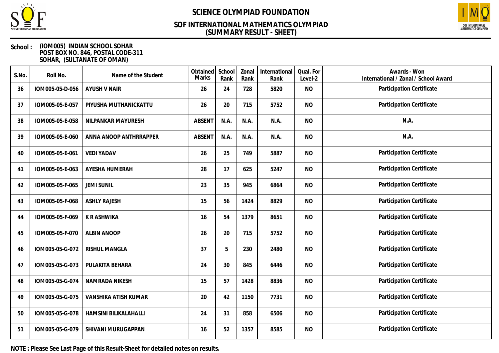

### **(SUMMARY RESULT - SHEET) SOF INTERNATIONAL MATHEMATICS OLYMPIAD**



#### **School : (IOM005) INDIAN SCHOOL SOHAR POST BOX NO. 846, POSTAL CODE-311 SOHAR, (SULTANATE OF OMAN)**

| S.No. | Roll No.        | Name of the Student    | Obtained<br>Marks | School<br>Rank | Zonal<br>Rank | International<br>Rank | Qual. For<br>Level-2 | Awards - Won<br>International / Zonal / School Award |
|-------|-----------------|------------------------|-------------------|----------------|---------------|-----------------------|----------------------|------------------------------------------------------|
| 36    | IOM005-05-D-056 | <b>AYUSH V NAIR</b>    | 26                | 24             | 728           | 5820                  | <b>NO</b>            | Participation Certificate                            |
| 37    | IOM005-05-E-057 | PIYUSHA MUTHANICKATTU  | 26                | 20             | 715           | 5752                  | <b>NO</b>            | Participation Certificate                            |
| 38    | IOM005-05-E-058 | NILPANKAR MAYURESH     | <b>ABSENT</b>     | N.A.           | N.A.          | N.A.                  | <b>NO</b>            | N.A.                                                 |
| 39    | IOM005-05-E-060 | ANNA ANOOP ANTHRRAPPER | <b>ABSENT</b>     | N.A.           | N.A.          | N.A.                  | <b>NO</b>            | N.A.                                                 |
| 40    | IOM005-05-E-061 | <b>VEDI YADAV</b>      | 26                | 25             | 749           | 5887                  | <b>NO</b>            | Participation Certificate                            |
| 41    | IOM005-05-E-063 | AYESHA HUMERAH         | 28                | 17             | 625           | 5247                  | <b>NO</b>            | Participation Certificate                            |
| 42    | IOM005-05-F-065 | <b>JEMI SUNIL</b>      | 23                | 35             | 945           | 6864                  | <b>NO</b>            | Participation Certificate                            |
| 43    | IOM005-05-F-068 | <b>ASHLY RAJESH</b>    | 15                | 56             | 1424          | 8829                  | <b>NO</b>            | Participation Certificate                            |
| 44    | IOM005-05-F-069 | K R ASHWIKA            | 16                | 54             | 1379          | 8651                  | <b>NO</b>            | Participation Certificate                            |
| 45    | IOM005-05-F-070 | <b>ALBIN ANOOP</b>     | 26                | 20             | 715           | 5752                  | <b>NO</b>            | Participation Certificate                            |
| 46    | IOM005-05-G-072 | RISHUL MANGLA          | 37                | 5              | 230           | 2480                  | <b>NO</b>            | Participation Certificate                            |
| 47    | IOM005-05-G-073 | PULAKITA BEHARA        | 24                | 30             | 845           | 6446                  | <b>NO</b>            | Participation Certificate                            |
| 48    | IOM005-05-G-074 | NAMRADA NIKESH         | 15                | 57             | 1428          | 8836                  | <b>NO</b>            | Participation Certificate                            |
| 49    | IOM005-05-G-075 | VANSHIKA ATISH KUMAR   | 20                | 42             | 1150          | 7731                  | <b>NO</b>            | Participation Certificate                            |
| 50    | IOM005-05-G-078 | HAMSINI BILIKALAHALLI  | 24                | 31             | 858           | 6506                  | <b>NO</b>            | Participation Certificate                            |
| 51    | IOM005-05-G-079 | SHIVANI MURUGAPPAN     | 16                | 52             | 1357          | 8585                  | <b>NO</b>            | Participation Certificate                            |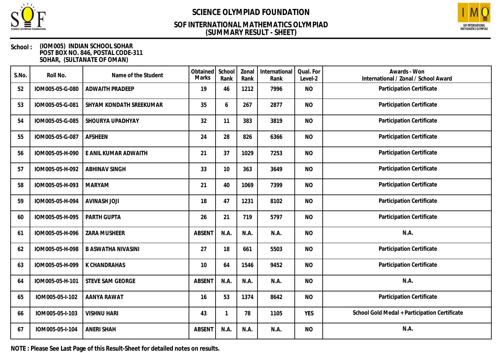

### **(SUMMARY RESULT - SHEET) SOF INTERNATIONAL MATHEMATICS OLYMPIAD**



#### **School : (IOM005) INDIAN SCHOOL SOHAR POST BOX NO. 846, POSTAL CODE-311 SOHAR, (SULTANATE OF OMAN)**

| S.No. | Roll No.        | Name of the Student       | Obtained<br><b>Marks</b> | School<br>Rank | Zonal<br>Rank | International<br>Rank | Qual. For<br>Level-2 | Awards - Won<br>International / Zonal / School Award |
|-------|-----------------|---------------------------|--------------------------|----------------|---------------|-----------------------|----------------------|------------------------------------------------------|
| 52    | IOM005-05-G-080 | <b>ADWAITH PRADEEP</b>    | 19                       | 46             | 1212          | 7996                  | <b>NO</b>            | Participation Certificate                            |
| 53    | IOM005-05-G-081 | SHYAM KONDATH SREEKUMAR   | 35                       | 6              | 267           | 2877                  | <b>NO</b>            | Participation Certificate                            |
| 54    | IOM005-05-G-085 | SHOURYA UPADHYAY          | 32                       | 11             | 383           | 3819                  | <b>NO</b>            | Participation Certificate                            |
| 55    | IOM005-05-G-087 | <b>AFSHEEN</b>            | 24                       | 28             | 826           | 6366                  | <b>NO</b>            | Participation Certificate                            |
| 56    | IOM005-05-H-090 | E ANIL KUMAR ADWAITH      | 21                       | 37             | 1029          | 7253                  | <b>NO</b>            | Participation Certificate                            |
| 57    | IOM005-05-H-092 | <b>ABHINAV SINGH</b>      | 33                       | 10             | 363           | 3649                  | <b>NO</b>            | Participation Certificate                            |
| 58    | IOM005-05-H-093 | <b>MARYAM</b>             | 21                       | 40             | 1069          | 7399                  | <b>NO</b>            | Participation Certificate                            |
| 59    | IOM005-05-H-094 | <b>AVINASH JOJI</b>       | 18                       | 47             | 1231          | 8102                  | <b>NO</b>            | Participation Certificate                            |
| 60    | IOM005-05-H-095 | PARTH GUPTA               | 26                       | 21             | 719           | 5797                  | <b>NO</b>            | Participation Certificate                            |
| 61    | IOM005-05-H-096 | ZARA MUSHEER              | <b>ABSENT</b>            | N.A.           | N.A.          | N.A.                  | <b>NO</b>            | N.A.                                                 |
| 62    | IOM005-05-H-098 | <b>B ASWATHA NIVASINI</b> | 27                       | 18             | 661           | 5503                  | <b>NO</b>            | Participation Certificate                            |
| 63    | IOM005-05-H-099 | K CHANDRAHAS              | 10                       | 64             | 1546          | 9452                  | <b>NO</b>            | Participation Certificate                            |
| 64    | IOM005-05-H-101 | STEVE SAM GEORGE          | <b>ABSENT</b>            | N.A.           | N.A.          | N.A.                  | <b>NO</b>            | N.A.                                                 |
| 65    | IOM005-05-I-102 | AANYA RAWAT               | 16                       | 53             | 1374          | 8642                  | <b>NO</b>            | Participation Certificate                            |
| 66    | IOM005-05-I-103 | <b>VISHNU HARI</b>        | 43                       | 1              | 78            | 1105                  | <b>YES</b>           | School Gold Medal + Participation Certificate        |
| 67    | IOM005-05-I-104 | <b>ANERI SHAH</b>         | ABSENT                   | N.A.           | N.A.          | N.A.                  | <b>NO</b>            | N.A.                                                 |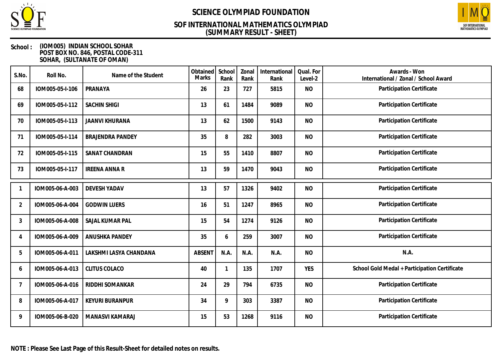

### **(SUMMARY RESULT - SHEET) SOF INTERNATIONAL MATHEMATICS OLYMPIAD**



#### **School : (IOM005) INDIAN SCHOOL SOHAR POST BOX NO. 846, POSTAL CODE-311 SOHAR, (SULTANATE OF OMAN)**

| S.No.          | Roll No.        | Name of the Student     | Obtained<br>Marks | School<br>Rank | Zonal<br>Rank | International<br>Rank | Qual. For<br>Level-2 | Awards - Won<br>International / Zonal / School Award |
|----------------|-----------------|-------------------------|-------------------|----------------|---------------|-----------------------|----------------------|------------------------------------------------------|
| 68             | IOM005-05-I-106 | PRANAYA                 | 26                | 23             | 727           | 5815                  | <b>NO</b>            | Participation Certificate                            |
| 69             | IOM005-05-I-112 | <b>SACHIN SHIGI</b>     | 13                | 61             | 1484          | 9089                  | <b>NO</b>            | Participation Certificate                            |
| 70             | IOM005-05-I-113 | <b>JAANVI KHURANA</b>   | 13                | 62             | 1500          | 9143                  | <b>NO</b>            | Participation Certificate                            |
| 71             | IOM005-05-I-114 | <b>BRAJENDRA PANDEY</b> | 35                | 8              | 282           | 3003                  | <b>NO</b>            | Participation Certificate                            |
| 72             | IOM005-05-I-115 | SANAT CHANDRAN          | 15                | 55             | 1410          | 8807                  | <b>NO</b>            | Participation Certificate                            |
| 73             | IOM005-05-I-117 | <b>IREENA ANNA R</b>    | 13                | 59             | 1470          | 9043                  | <b>NO</b>            | Participation Certificate                            |
|                | IOM005-06-A-003 | <b>DEVESH YADAV</b>     | 13                | 57             | 1326          | 9402                  | <b>NO</b>            | Participation Certificate                            |
| $\overline{2}$ | IOM005-06-A-004 | <b>GODWIN LUERS</b>     | 16                | 51             | 1247          | 8965                  | <b>NO</b>            | Participation Certificate                            |
| 3              | IOM005-06-A-008 | SAJAL KUMAR PAL         | 15                | 54             | 1274          | 9126                  | <b>NO</b>            | Participation Certificate                            |
| $\Delta$       | IOM005-06-A-009 | ANUSHKA PANDEY          | 35                | 6              | 259           | 3007                  | <b>NO</b>            | Participation Certificate                            |
| 5              | IOM005-06-A-011 | LAKSHMI LASYA CHANDANA  | <b>ABSENT</b>     | N.A.           | N.A.          | N.A.                  | <b>NO</b>            | N.A.                                                 |
| 6              | IOM005-06-A-013 | <b>CLITUS COLACO</b>    | 40                | $\mathbf 1$    | 135           | 1707                  | <b>YES</b>           | School Gold Medal + Participation Certificate        |
|                | IOM005-06-A-016 | RIDDHI SOMANKAR         | 24                | 29             | 794           | 6735                  | <b>NO</b>            | Participation Certificate                            |
| 8              | IOM005-06-A-017 | <b>KEYURI BURANPUR</b>  | 34                | 9              | 303           | 3387                  | <b>NO</b>            | Participation Certificate                            |
| 9              | IOM005-06-B-020 | MANASVI KAMARAJ         | 15                | 53             | 1268          | 9116                  | <b>NO</b>            | Participation Certificate                            |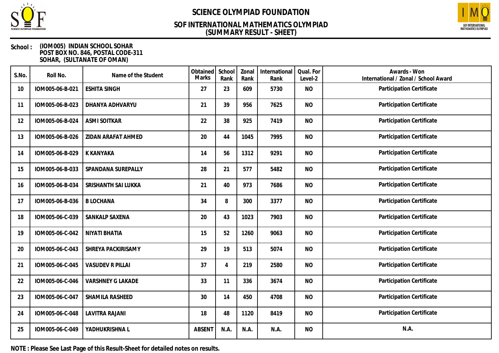

### **(SUMMARY RESULT - SHEET) SOF INTERNATIONAL MATHEMATICS OLYMPIAD**



#### **School : (IOM005) INDIAN SCHOOL SOHAR POST BOX NO. 846, POSTAL CODE-311 SOHAR, (SULTANATE OF OMAN)**

| S.No. | Roll No.        | Name of the Student      | Obtained<br><b>Marks</b> | School<br>Rank | Zonal<br>Rank | International<br>Rank | Qual. For<br>Level-2 | Awards - Won<br>International / Zonal / School Award |
|-------|-----------------|--------------------------|--------------------------|----------------|---------------|-----------------------|----------------------|------------------------------------------------------|
| 10    | IOM005-06-B-021 | <b>ESHITA SINGH</b>      | 27                       | 23             | 609           | 5730                  | <b>NO</b>            | Participation Certificate                            |
| 11    | IOM005-06-B-023 | DHANYA ADHVARYU          | 21                       | 39             | 956           | 7625                  | <b>NO</b>            | Participation Certificate                            |
| 12    | IOM005-06-B-024 | <b>ASMI SOITKAR</b>      | 22                       | 38             | 925           | 7419                  | <b>NO</b>            | Participation Certificate                            |
| 13    | IOM005-06-B-026 | ZIDAN ARAFAT AHMED       | 20                       | 44             | 1045          | 7995                  | <b>NO</b>            | Participation Certificate                            |
| 14    | IOM005-06-B-029 | <b>K KANYAKA</b>         | 14                       | 56             | 1312          | 9291                  | <b>NO</b>            | Participation Certificate                            |
| 15    | IOM005-06-B-033 | SPANDANA SUREPALLY       | 28                       | 21             | 577           | 5482                  | <b>NO</b>            | Participation Certificate                            |
| 16    | IOM005-06-B-034 | SRISHANTH SAI LUKKA      | 21                       | 40             | 973           | 7686                  | <b>NO</b>            | Participation Certificate                            |
| 17    | IOM005-06-B-036 | <b>BLOCHANA</b>          | 34                       | 8              | 300           | 3377                  | <b>NO</b>            | Participation Certificate                            |
| 18    | IOM005-06-C-039 | SANKALP SAXENA           | 20                       | 43             | 1023          | 7903                  | <b>NO</b>            | Participation Certificate                            |
| 19    | IOM005-06-C-042 | NIYATI BHATIA            | 15                       | 52             | 1260          | 9063                  | <b>NO</b>            | Participation Certificate                            |
| 20    | IOM005-06-C-043 | SHREYA PACKIRISAMY       | 29                       | 19             | 513           | 5074                  | <b>NO</b>            | Participation Certificate                            |
| 21    | IOM005-06-C-045 | <b>VASUDEV R PILLAI</b>  | 37                       | 4              | 219           | 2580                  | <b>NO</b>            | Participation Certificate                            |
| 22    | IOM005-06-C-046 | <b>VARSHNEY G LAKADE</b> | 33                       | 11             | 336           | 3674                  | <b>NO</b>            | Participation Certificate                            |
| 23    | IOM005-06-C-047 | SHAMILA RASHEED          | 30                       | 14             | 450           | 4708                  | <b>NO</b>            | Participation Certificate                            |
| 24    | IOM005-06-C-048 | <b>LAVITRA RAJANI</b>    | 18                       | 48             | 1120          | 8419                  | <b>NO</b>            | Participation Certificate                            |
| 25    | IOM005-06-C-049 | YADHUKRISHNA L           | <b>ABSENT</b>            | N.A.           | N.A.          | N.A.                  | <b>NO</b>            | N.A.                                                 |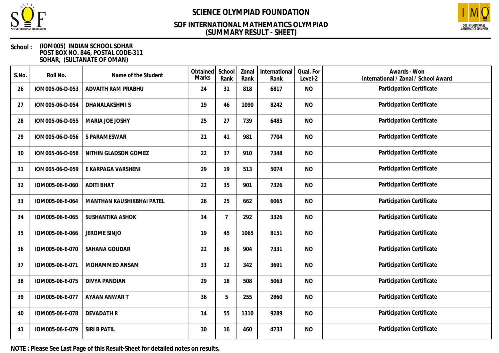

### **(SUMMARY RESULT - SHEET) SOF INTERNATIONAL MATHEMATICS OLYMPIAD**



#### **School : (IOM005) INDIAN SCHOOL SOHAR POST BOX NO. 846, POSTAL CODE-311 SOHAR, (SULTANATE OF OMAN)**

| S.No. | Roll No.        | Name of the Student       | Obtained<br>Marks | School<br>Rank | Zonal<br>Rank | International<br>Rank | Qual. For<br>Level-2 | Awards - Won<br>International / Zonal / School Award |
|-------|-----------------|---------------------------|-------------------|----------------|---------------|-----------------------|----------------------|------------------------------------------------------|
| 26    | IOM005-06-D-053 | ADVAITH RAM PRABHU        | 24                | 31             | 818           | 6817                  | <b>NO</b>            | Participation Certificate                            |
| 27    | IOM005-06-D-054 | DHANALAKSHMI S            | 19                | 46             | 1090          | 8242                  | <b>NO</b>            | Participation Certificate                            |
| 28    | IOM005-06-D-055 | MARIA JOE JOSHY           | 25                | 27             | 739           | 6485                  | <b>NO</b>            | Participation Certificate                            |
| 29    | IOM005-06-D-056 | S PARAMESWAR              | 21                | 41             | 981           | 7704                  | <b>NO</b>            | Participation Certificate                            |
| 30    | IOM005-06-D-058 | NITHIN GLADSON GOMEZ      | 22                | 37             | 910           | 7348                  | <b>NO</b>            | Participation Certificate                            |
| 31    | IOM005-06-D-059 | E KARPAGA VARSHENI        | 29                | 19             | 513           | 5074                  | <b>NO</b>            | Participation Certificate                            |
| 32    | IOM005-06-E-060 | <b>ADITI BHAT</b>         | 22                | 35             | 901           | 7326                  | <b>NO</b>            | Participation Certificate                            |
| 33    | IOM005-06-E-064 | MANTHAN KAUSHIKBHAI PATEL | 26                | 25             | 662           | 6065                  | <b>NO</b>            | Participation Certificate                            |
| 34    | IOM005-06-E-065 | SUSHANTIKA ASHOK          | 34                | $\overline{7}$ | 292           | 3326                  | <b>NO</b>            | Participation Certificate                            |
| 35    | IOM005-06-E-066 | JEROME SINJO              | 19                | 45             | 1065          | 8151                  | <b>NO</b>            | Participation Certificate                            |
| 36    | IOM005-06-E-070 | SAHANA GOUDAR             | 22                | 36             | 904           | 7331                  | <b>NO</b>            | Participation Certificate                            |
| 37    | IOM005-06-E-071 | MOHAMMED ANSAM            | 33                | 12             | 342           | 3691                  | <b>NO</b>            | Participation Certificate                            |
| 38    | IOM005-06-E-075 | <b>DIVYA PANDIAN</b>      | 29                | 18             | 508           | 5063                  | <b>NO</b>            | Participation Certificate                            |
| 39    | IOM005-06-E-077 | AYAAN ANWAR T             | 36                | 5              | 255           | 2860                  | <b>NO</b>            | Participation Certificate                            |
| 40    | IOM005-06-E-078 | <b>DEVADATH R</b>         | 14                | 55             | 1310          | 9289                  | <b>NO</b>            | Participation Certificate                            |
| 41    | IOM005-06-E-079 | <b>SIRI B PATIL</b>       | 30                | 16             | 460           | 4733                  | <b>NO</b>            | Participation Certificate                            |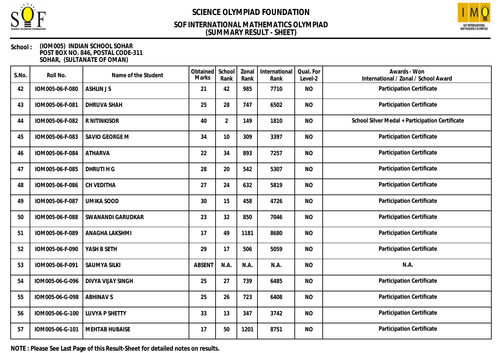

### **(SUMMARY RESULT - SHEET) SOF INTERNATIONAL MATHEMATICS OLYMPIAD**



#### **School : (IOM005) INDIAN SCHOOL SOHAR POST BOX NO. 846, POSTAL CODE-311 SOHAR, (SULTANATE OF OMAN)**

| S.No. | Roll No.        | Name of the Student   | Obtained<br>Marks | School<br>Rank | Zonal<br>Rank | International<br>Rank | Qual. For<br>Level-2 | Awards - Won<br>International / Zonal / School Award |
|-------|-----------------|-----------------------|-------------------|----------------|---------------|-----------------------|----------------------|------------------------------------------------------|
| 42    | IOM005-06-F-080 | <b>ASHLIN JS</b>      | 21                | 42             | 985           | 7710                  | <b>NO</b>            | Participation Certificate                            |
| 43    | IOM005-06-F-081 | <b>DHRUVA SHAH</b>    | 25                | 28             | 747           | 6502                  | <b>NO</b>            | <b>Participation Certificate</b>                     |
| 44    | IOM005-06-F-082 | R NITINKISOR          | 40                | $\overline{2}$ | 149           | 1810                  | <b>NO</b>            | School Silver Medal + Participation Certificate      |
| 45    | IOM005-06-F-083 | SAVIO GEORGE M        | 34                | 10             | 309           | 3397                  | <b>NO</b>            | Participation Certificate                            |
| 46    | IOM005-06-F-084 | <b>ATHARVA</b>        | 22                | 34             | 893           | 7257                  | <b>NO</b>            | Participation Certificate                            |
| 47    | IOM005-06-F-085 | DHRUTI H G            | 28                | 20             | 542           | 5307                  | <b>NO</b>            | Participation Certificate                            |
| 48    | IOM005-06-F-086 | CH VEDITHA            | 27                | 24             | 632           | 5819                  | <b>NO</b>            | Participation Certificate                            |
| 49    | IOM005-06-F-087 | <b>UMIKA SOOD</b>     | 30                | 15             | 458           | 4726                  | <b>NO</b>            | Participation Certificate                            |
| 50    | IOM005-06-F-088 | SWANANDI GARUDKAR     | 23                | 32             | 850           | 7046                  | <b>NO</b>            | Participation Certificate                            |
| 51    | IOM005-06-F-089 | ANAGHA LAKSHMI        | 17                | 49             | 1181          | 8680                  | <b>NO</b>            | Participation Certificate                            |
| 52    | IOM005-06-F-090 | YASH B SETH           | 29                | 17             | 506           | 5059                  | <b>NO</b>            | Participation Certificate                            |
| 53    | IOM005-06-F-091 | <b>SAUMYA SILKI</b>   | <b>ABSENT</b>     | N.A.           | N.A.          | N.A.                  | <b>NO</b>            | N.A.                                                 |
| 54    | IOM005-06-G-096 | DIVYA VIJAY SINGH     | 25                | 27             | 739           | 6485                  | <b>NO</b>            | Participation Certificate                            |
| 55    | IOM005-06-G-098 | <b>ABHINAV S</b>      | 25                | 26             | 723           | 6408                  | <b>NO</b>            | Participation Certificate                            |
| 56    | IOM005-06-G-100 | <b>LUVYA P SHETTY</b> | 33                | 13             | 347           | 3742                  | <b>NO</b>            | Participation Certificate                            |
| 57    | IOM005-06-G-101 | <b>MEHTAB HUBAISE</b> | 17                | 50             | 1201          | 8751                  | <b>NO</b>            | Participation Certificate                            |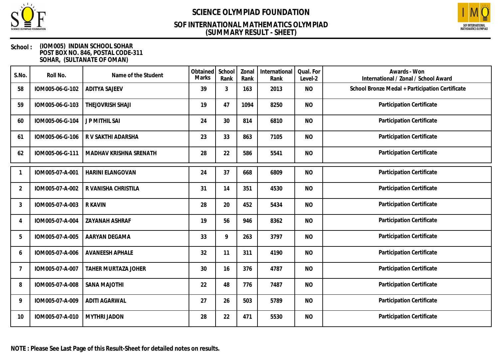

### **(SUMMARY RESULT - SHEET) SOF INTERNATIONAL MATHEMATICS OLYMPIAD**



#### **School : (IOM005) INDIAN SCHOOL SOHAR POST BOX NO. 846, POSTAL CODE-311 SOHAR, (SULTANATE OF OMAN)**

| S.No.          | Roll No.        | Name of the Student        | Obtained<br><b>Marks</b> | School<br>Rank | Zonal<br>Rank | International<br>Rank | Qual. For<br>Level-2 | Awards - Won<br>International / Zonal / School Award |
|----------------|-----------------|----------------------------|--------------------------|----------------|---------------|-----------------------|----------------------|------------------------------------------------------|
| 58             | IOM005-06-G-102 | <b>ADITYA SAJEEV</b>       | 39                       | 3              | 163           | 2013                  | <b>NO</b>            | School Bronze Medal + Participation Certificate      |
| 59             | IOM005-06-G-103 | THEJOVRISH SHAJI           | 19                       | 47             | 1094          | 8250                  | <b>NO</b>            | Participation Certificate                            |
| 60             | IOM005-06-G-104 | <b>JP MITHIL SAI</b>       | 24                       | 30             | 814           | 6810                  | <b>NO</b>            | Participation Certificate                            |
| 61             | IOM005-06-G-106 | R V SAKTHI ADARSHA         | 23                       | 33             | 863           | 7105                  | <b>NO</b>            | Participation Certificate                            |
| 62             | IOM005-06-G-111 | MADHAV KRISHNA SRENATH     | 28                       | 22             | 586           | 5541                  | <b>NO</b>            | Participation Certificate                            |
|                | IOM005-07-A-001 | <b>HARINI ELANGOVAN</b>    | 24                       | 37             | 668           | 6809                  | <b>NO</b>            | Participation Certificate                            |
| $\overline{2}$ | IOM005-07-A-002 | R VANISHA CHRISTILA        | 31                       | 14             | 351           | 4530                  | <b>NO</b>            | Participation Certificate                            |
| 3              | IOM005-07-A-003 | <b>R KAVIN</b>             | 28                       | 20             | 452           | 5434                  | <b>NO</b>            | Participation Certificate                            |
| 4              | IOM005-07-A-004 | ZAYANAH ASHRAF             | 19                       | 56             | 946           | 8362                  | <b>NO</b>            | Participation Certificate                            |
| 5              | IOM005-07-A-005 | AARYAN DEGAMA              | 33                       | 9              | 263           | 3797                  | <b>NO</b>            | Participation Certificate                            |
| 6              | IOM005-07-A-006 | <b>AVANEESH APHALE</b>     | 32                       | 11             | 311           | 4190                  | <b>NO</b>            | Participation Certificate                            |
| 7              | IOM005-07-A-007 | <b>TAHER MURTAZA JOHER</b> | 30                       | 16             | 376           | 4787                  | <b>NO</b>            | Participation Certificate                            |
| 8              | IOM005-07-A-008 | <b>SANA MAJOTHI</b>        | 22                       | 48             | 776           | 7487                  | <b>NO</b>            | Participation Certificate                            |
| 9              | IOM005-07-A-009 | <b>ADITI AGARWAL</b>       | 27                       | 26             | 503           | 5789                  | <b>NO</b>            | Participation Certificate                            |
| 10             | IOM005-07-A-010 | <b>MYTHRI JADON</b>        | 28                       | 22             | 471           | 5530                  | <b>NO</b>            | Participation Certificate                            |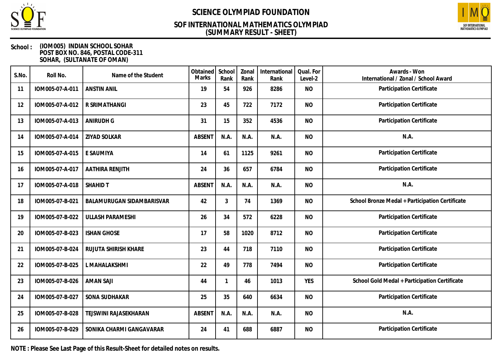

### **(SUMMARY RESULT - SHEET) SOF INTERNATIONAL MATHEMATICS OLYMPIAD**



#### **School : (IOM005) INDIAN SCHOOL SOHAR POST BOX NO. 846, POSTAL CODE-311 SOHAR, (SULTANATE OF OMAN)**

| S.No. | Roll No.        | Name of the Student       | Obtained<br>Marks | School<br>Rank | Zonal<br>Rank | International<br>Rank | Qual. For<br>Level-2 | Awards - Won<br>International / Zonal / School Award |
|-------|-----------------|---------------------------|-------------------|----------------|---------------|-----------------------|----------------------|------------------------------------------------------|
| 11    | IOM005-07-A-011 | <b>ANSTIN ANIL</b>        | 19                | 54             | 926           | 8286                  | <b>NO</b>            | Participation Certificate                            |
| 12    | IOM005-07-A-012 | R SRIMATHANGI             | 23                | 45             | 722           | 7172                  | <b>NO</b>            | Participation Certificate                            |
| 13    | IOM005-07-A-013 | <b>ANIRUDH G</b>          | 31                | 15             | 352           | 4536                  | <b>NO</b>            | Participation Certificate                            |
| 14    | IOM005-07-A-014 | ZIYAD SOLKAR              | ABSENT            | N.A.           | N.A.          | N.A.                  | <b>NO</b>            | N.A.                                                 |
| 15    | IOM005-07-A-015 | E SAUMIYA                 | 14                | 61             | 1125          | 9261                  | <b>NO</b>            | Participation Certificate                            |
| 16    | IOM005-07-A-017 | AATHIRA RENJITH           | 24                | 36             | 657           | 6784                  | <b>NO</b>            | Participation Certificate                            |
| 17    | IOM005-07-A-018 | <b>SHAHID T</b>           | <b>ABSENT</b>     | N.A.           | N.A.          | N.A.                  | <b>NO</b>            | N.A.                                                 |
| 18    | IOM005-07-B-021 | BALAMURUGAN SIDAMBARISVAR | 42                | 3              | 74            | 1369                  | <b>NO</b>            | School Bronze Medal + Participation Certificate      |
| 19    | IOM005-07-B-022 | <b>ULLASH PARAMESHI</b>   | 26                | 34             | 572           | 6228                  | <b>NO</b>            | Participation Certificate                            |
| 20    | IOM005-07-B-023 | <b>ISHAN GHOSE</b>        | 17                | 58             | 1020          | 8712                  | <b>NO</b>            | Participation Certificate                            |
| 21    | IOM005-07-B-024 | RUJUTA SHIRISH KHARE      | 23                | 44             | 718           | 7110                  | <b>NO</b>            | Participation Certificate                            |
| 22    | IOM005-07-B-025 | L MAHALAKSHMI             | 22                | 49             | 778           | 7494                  | <b>NO</b>            | Participation Certificate                            |
| 23    | IOM005-07-B-026 | <b>AMAN SAJI</b>          | 44                | $\mathbf 1$    | 46            | 1013                  | <b>YES</b>           | School Gold Medal + Participation Certificate        |
| 24    | IOM005-07-B-027 | SONA SUDHAKAR             | 25                | 35             | 640           | 6634                  | <b>NO</b>            | Participation Certificate                            |
| 25    | IOM005-07-B-028 | TEJSWINI RAJASEKHARAN     | <b>ABSENT</b>     | N.A.           | N.A.          | N.A.                  | <b>NO</b>            | N.A.                                                 |
| 26    | IOM005-07-B-029 | SONIKA CHARMI GANGAVARAR  | 24                | 41             | 688           | 6887                  | <b>NO</b>            | Participation Certificate                            |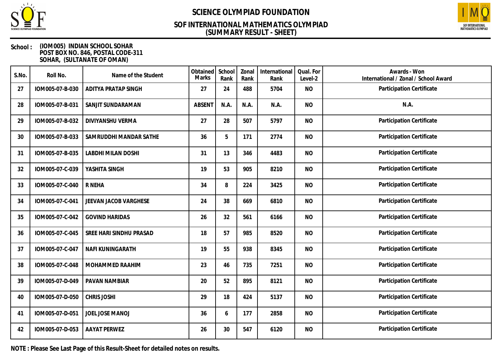

### **(SUMMARY RESULT - SHEET) SOF INTERNATIONAL MATHEMATICS OLYMPIAD**



#### **School : (IOM005) INDIAN SCHOOL SOHAR POST BOX NO. 846, POSTAL CODE-311 SOHAR, (SULTANATE OF OMAN)**

| S.No. | Roll No.        | Name of the Student        | Obtained<br>Marks | School<br>Rank | Zonal<br>Rank | International<br>Rank | Qual. For<br>Level-2 | Awards - Won<br>International / Zonal / School Award |
|-------|-----------------|----------------------------|-------------------|----------------|---------------|-----------------------|----------------------|------------------------------------------------------|
| 27    | IOM005-07-B-030 | <b>ADITYA PRATAP SINGH</b> | 27                | 24             | 488           | 5704                  | <b>NO</b>            | Participation Certificate                            |
| 28    | IOM005-07-B-031 | SANJIT SUNDARAMAN          | <b>ABSENT</b>     | N.A.           | N.A.          | N.A.                  | <b>NO</b>            | N.A.                                                 |
| 29    | IOM005-07-B-032 | DIVIYANSHU VERMA           | 27                | 28             | 507           | 5797                  | <b>NO</b>            | Participation Certificate                            |
| 30    | IOM005-07-B-033 | SAMRUDDHI MANDAR SATHE     | 36                | 5              | 171           | 2774                  | <b>NO</b>            | Participation Certificate                            |
| 31    | IOM005-07-B-035 | <b>LABDHI MILAN DOSHI</b>  | 31                | 13             | 346           | 4483                  | <b>NO</b>            | Participation Certificate                            |
| 32    | IOM005-07-C-039 | YASHITA SINGH              | 19                | 53             | 905           | 8210                  | <b>NO</b>            | Participation Certificate                            |
| 33    | IOM005-07-C-040 | R NEHA                     | 34                | 8              | 224           | 3425                  | <b>NO</b>            | Participation Certificate                            |
| 34    | IOM005-07-C-041 | JEEVAN JACOB VARGHESE      | 24                | 38             | 669           | 6810                  | <b>NO</b>            | Participation Certificate                            |
| 35    | IOM005-07-C-042 | <b>GOVIND HARIDAS</b>      | 26                | 32             | 561           | 6166                  | <b>NO</b>            | Participation Certificate                            |
| 36    | IOM005-07-C-045 | SREE HARI SINDHU PRASAD    | 18                | 57             | 985           | 8520                  | <b>NO</b>            | Participation Certificate                            |
| 37    | IOM005-07-C-047 | <b>NAFI KUNINGARATH</b>    | 19                | 55             | 938           | 8345                  | <b>NO</b>            | Participation Certificate                            |
| 38    | IOM005-07-C-048 | MOHAMMED RAAHIM            | 23                | 46             | 735           | 7251                  | <b>NO</b>            | Participation Certificate                            |
| 39    | IOM005-07-D-049 | PAVAN NAMBIAR              | 20                | 52             | 895           | 8121                  | <b>NO</b>            | Participation Certificate                            |
| 40    | IOM005-07-D-050 | <b>CHRIS JOSHI</b>         | 29                | 18             | 424           | 5137                  | <b>NO</b>            | Participation Certificate                            |
| 41    | IOM005-07-D-051 | JOEL JOSE MANOJ            | 36                | 6              | 177           | 2858                  | <b>NO</b>            | Participation Certificate                            |
| 42    | IOM005-07-D-053 | <b>AAYAT PERWEZ</b>        | 26                | 30             | 547           | 6120                  | <b>NO</b>            | Participation Certificate                            |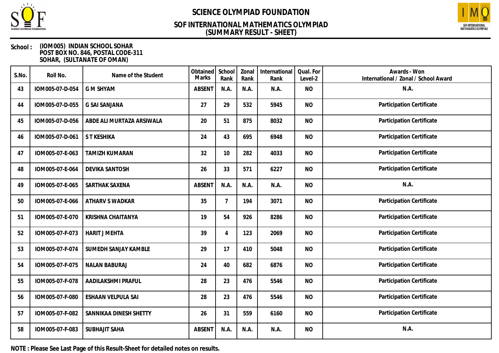

## **(SUMMARY RESULT - SHEET) SOF INTERNATIONAL MATHEMATICS OLYMPIAD**



#### **School : (IOM005) INDIAN SCHOOL SOHAR POST BOX NO. 846, POSTAL CODE-311 SOHAR, (SULTANATE OF OMAN)**

| S.No. | Roll No.        | Name of the Student       | Obtained<br><b>Marks</b> | School<br>Rank | Zonal<br>Rank | International<br>Rank | Qual. For<br>Level-2 | Awards - Won<br>International / Zonal / School Award |
|-------|-----------------|---------------------------|--------------------------|----------------|---------------|-----------------------|----------------------|------------------------------------------------------|
| 43    | IOM005-07-D-054 | <b>G M SHYAM</b>          | <b>ABSENT</b>            | N.A.           | N.A.          | N.A.                  | <b>NO</b>            | N.A.                                                 |
| 44    | IOM005-07-D-055 | <b>G SAI SANJANA</b>      | 27                       | 29             | 532           | 5945                  | <b>NO</b>            | Participation Certificate                            |
| 45    | IOM005-07-D-056 | ABDE ALI MURTAZA ARSIWALA | 20                       | 51             | 875           | 8032                  | <b>NO</b>            | Participation Certificate                            |
| 46    | IOM005-07-D-061 | S T KESHIKA               | 24                       | 43             | 695           | 6948                  | <b>NO</b>            | Participation Certificate                            |
| 47    | IOM005-07-E-063 | <b>TAMIZH KUMARAN</b>     | 32                       | 10             | 282           | 4033                  | <b>NO</b>            | Participation Certificate                            |
| 48    | IOM005-07-E-064 | <b>DEVIKA SANTOSH</b>     | 26                       | 33             | 571           | 6227                  | <b>NO</b>            | Participation Certificate                            |
| 49    | IOM005-07-E-065 | SARTHAK SAXENA            | <b>ABSENT</b>            | N.A.           | N.A.          | N.A.                  | <b>NO</b>            | N.A.                                                 |
| 50    | IOM005-07-E-066 | ATHARV S WADKAR           | 35                       | 7              | 194           | 3071                  | <b>NO</b>            | Participation Certificate                            |
| 51    | IOM005-07-E-070 | KRISHNA CHAITANYA         | 19                       | 54             | 926           | 8286                  | <b>NO</b>            | Participation Certificate                            |
| 52    | IOM005-07-F-073 | <b>HARIT J MEHTA</b>      | 39                       | 4              | 123           | 2069                  | <b>NO</b>            | Participation Certificate                            |
| 53    | IOM005-07-F-074 | SUMEDH SANJAY KAMBLE      | 29                       | 17             | 410           | 5048                  | <b>NO</b>            | Participation Certificate                            |
| 54    | IOM005-07-F-075 | <b>NALAN BABURAJ</b>      | 24                       | 40             | 682           | 6876                  | <b>NO</b>            | Participation Certificate                            |
| 55    | IOM005-07-F-078 | AADILAKSHMI PRAFUL        | 28                       | 23             | 476           | 5546                  | <b>NO</b>            | Participation Certificate                            |
| 56    | IOM005-07-F-080 | <b>ESHAAN VELPULA SAI</b> | 28                       | 23             | 476           | 5546                  | <b>NO</b>            | Participation Certificate                            |
| 57    | IOM005-07-F-082 | SANNIKAA DINESH SHETTY    | 26                       | 31             | 559           | 6160                  | <b>NO</b>            | Participation Certificate                            |
| 58    | IOM005-07-F-083 | <b>SUBHAJIT SAHA</b>      | <b>ABSENT</b>            | N.A.           | N.A.          | N.A.                  | <b>NO</b>            | N.A.                                                 |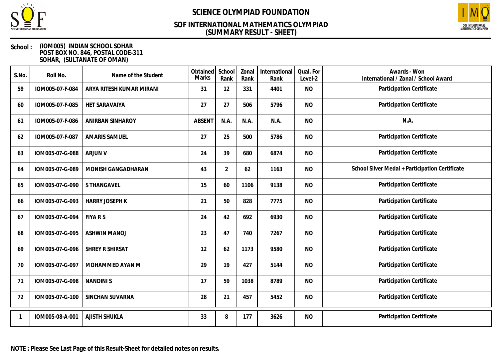

### **(SUMMARY RESULT - SHEET) SOF INTERNATIONAL MATHEMATICS OLYMPIAD**



#### **School : (IOM005) INDIAN SCHOOL SOHAR POST BOX NO. 846, POSTAL CODE-311 SOHAR, (SULTANATE OF OMAN)**

| S.No. | Roll No.        | Name of the Student      | Obtained<br><b>Marks</b> | School<br>Rank | Zonal<br>Rank | International<br>Rank | Qual. For<br>Level-2 | Awards - Won<br>International / Zonal / School Award |
|-------|-----------------|--------------------------|--------------------------|----------------|---------------|-----------------------|----------------------|------------------------------------------------------|
| 59    | IOM005-07-F-084 | ARYA RITESH KUMAR MIRANI | 31                       | 12             | 331           | 4401                  | <b>NO</b>            | Participation Certificate                            |
| 60    | IOM005-07-F-085 | HET SARAVAIYA            | 27                       | 27             | 506           | 5796                  | <b>NO</b>            | Participation Certificate                            |
| 61    | IOM005-07-F-086 | <b>ANIRBAN SINHAROY</b>  | <b>ABSENT</b>            | N.A.           | N.A.          | N.A.                  | <b>NO</b>            | N.A.                                                 |
| 62    | IOM005-07-F-087 | <b>AMARIS SAMUEL</b>     | 27                       | 25             | 500           | 5786                  | <b>NO</b>            | Participation Certificate                            |
| 63    | IOM005-07-G-088 | <b>ARJUN V</b>           | 24                       | 39             | 680           | 6874                  | <b>NO</b>            | Participation Certificate                            |
| 64    | IOM005-07-G-089 | MONISH GANGADHARAN       | 43                       | $\overline{2}$ | 62            | 1163                  | <b>NO</b>            | School Silver Medal + Participation Certificate      |
| 65    | IOM005-07-G-090 | S THANGAVEL              | 15                       | 60             | 1106          | 9138                  | <b>NO</b>            | Participation Certificate                            |
| 66    | IOM005-07-G-093 | <b>HARRY JOSEPH K</b>    | 21                       | 50             | 828           | 7775                  | <b>NO</b>            | Participation Certificate                            |
| 67    | IOM005-07-G-094 | <b>FIYA R S</b>          | 24                       | 42             | 692           | 6930                  | <b>NO</b>            | Participation Certificate                            |
| 68    | IOM005-07-G-095 | <b>ASHWIN MANOJ</b>      | 23                       | 47             | 740           | 7267                  | <b>NO</b>            | Participation Certificate                            |
| 69    | IOM005-07-G-096 | SHREY R SHIRSAT          | 12                       | 62             | 1173          | 9580                  | <b>NO</b>            | Participation Certificate                            |
| 70    | IOM005-07-G-097 | MOHAMMED AYAN M          | 29                       | 19             | 427           | 5144                  | <b>NO</b>            | Participation Certificate                            |
| 71    | IOM005-07-G-098 | <b>NANDINIS</b>          | 17                       | 59             | 1038          | 8789                  | <b>NO</b>            | Participation Certificate                            |
| 72    | IOM005-07-G-100 | SINCHAN SUVARNA          | 28                       | 21             | 457           | 5452                  | <b>NO</b>            | Participation Certificate                            |
|       | IOM005-08-A-001 | <b>AJISTH SHUKLA</b>     | 33                       | 8              | 177           | 3626                  | <b>NO</b>            | Participation Certificate                            |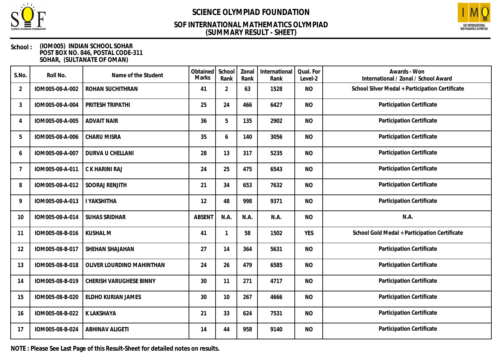

### **(SUMMARY RESULT - SHEET) SOF INTERNATIONAL MATHEMATICS OLYMPIAD**



#### **School : (IOM005) INDIAN SCHOOL SOHAR POST BOX NO. 846, POSTAL CODE-311 SOHAR, (SULTANATE OF OMAN)**

| S.No.          | Roll No.        | Name of the Student       | Obtained<br>Marks | School<br>Rank | Zonal<br>Rank | International<br>Rank | Qual. For<br>Level-2 | Awards - Won<br>International / Zonal / School Award |
|----------------|-----------------|---------------------------|-------------------|----------------|---------------|-----------------------|----------------------|------------------------------------------------------|
| $\overline{2}$ | IOM005-08-A-002 | ROHAN SUCHITHRAN          | 41                | $\overline{2}$ | 63            | 1528                  | <b>NO</b>            | School Silver Medal + Participation Certificate      |
| 3              | IOM005-08-A-004 | PRITESH TRIPATHI          | 25                | 24             | 466           | 6427                  | <b>NO</b>            | Participation Certificate                            |
| 4              | IOM005-08-A-005 | <b>ADVAIT NAIR</b>        | 36                | 5              | 135           | 2902                  | <b>NO</b>            | Participation Certificate                            |
| 5              | IOM005-08-A-006 | <b>CHARU MISRA</b>        | 35                | 6              | 140           | 3056                  | <b>NO</b>            | Participation Certificate                            |
| 6              | IOM005-08-A-007 | DURVA U CHELLANI          | 28                | 13             | 317           | 5235                  | <b>NO</b>            | Participation Certificate                            |
| 7              | IOM005-08-A-011 | C K HARINI RAJ            | 24                | 25             | 475           | 6543                  | <b>NO</b>            | Participation Certificate                            |
| 8              | IOM005-08-A-012 | SOORAJ RENJITH            | 21                | 34             | 653           | 7632                  | <b>NO</b>            | Participation Certificate                            |
| 9              | IOM005-08-A-013 | <b>I YAKSHITHA</b>        | 12                | 48             | 998           | 9371                  | <b>NO</b>            | Participation Certificate                            |
| 10             | IOM005-08-A-014 | <b>SUHAS SRIDHAR</b>      | <b>ABSENT</b>     | N.A.           | N.A.          | N.A.                  | <b>NO</b>            | N.A.                                                 |
| 11             | IOM005-08-B-016 | <b>KUSHAL M</b>           | 41                |                | 58            | 1502                  | <b>YES</b>           | School Gold Medal + Participation Certificate        |
| 12             | IOM005-08-B-017 | SHEHAN SHAJAHAN           | 27                | 14             | 364           | 5631                  | <b>NO</b>            | Participation Certificate                            |
| 13             | IOM005-08-B-018 | OLIVER LOURDINO MAHINTHAN | 24                | 26             | 479           | 6585                  | <b>NO</b>            | Participation Certificate                            |
| 14             | IOM005-08-B-019 | CHERISH VARUGHESE BINNY   | 30                | 11             | 271           | 4717                  | <b>NO</b>            | Participation Certificate                            |
| 15             | IOM005-08-B-020 | ELDHO KURIAN JAMES        | 30                | 10             | 267           | 4666                  | <b>NO</b>            | Participation Certificate                            |
| 16             | IOM005-08-B-022 | K LAKSHAYA                | 21                | 33             | 624           | 7531                  | <b>NO</b>            | Participation Certificate                            |
| 17             | IOM005-08-B-024 | <b>ABHINAV ALIGETI</b>    | 14                | 44             | 958           | 9140                  | <b>NO</b>            | Participation Certificate                            |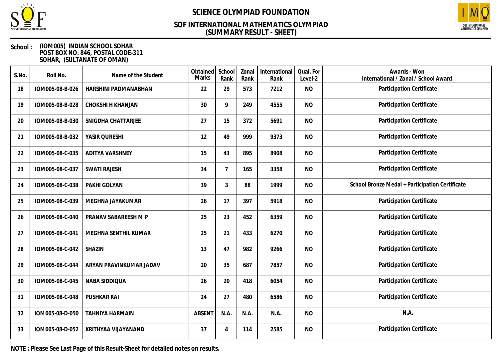

### **(SUMMARY RESULT - SHEET) SOF INTERNATIONAL MATHEMATICS OLYMPIAD**



#### **School : (IOM005) INDIAN SCHOOL SOHAR POST BOX NO. 846, POSTAL CODE-311 SOHAR, (SULTANATE OF OMAN)**

| S.No. | Roll No.        | Name of the Student      | Obtained<br>Marks | School<br>Rank | Zonal<br>Rank | International<br>Rank | Qual. For<br>Level-2 | Awards - Won<br>International / Zonal / School Award |
|-------|-----------------|--------------------------|-------------------|----------------|---------------|-----------------------|----------------------|------------------------------------------------------|
| 18    | IOM005-08-B-026 | HARSHINI PADMANABHAN     | 22                | 29             | 573           | 7212                  | <b>NO</b>            | Participation Certificate                            |
| 19    | IOM005-08-B-028 | <b>CHOKSHI H KHANJAN</b> | 30                | 9              | 249           | 4555                  | <b>NO</b>            | Participation Certificate                            |
| 20    | IOM005-08-B-030 | SNIGDHA CHATTARJEE       | 27                | 15             | 372           | 5691                  | <b>NO</b>            | Participation Certificate                            |
| 21    | IOM005-08-B-032 | YASIR QURESHI            | 12                | 49             | 999           | 9373                  | <b>NO</b>            | Participation Certificate                            |
| 22    | IOM005-08-C-035 | <b>ADITYA VARSHNEY</b>   | 15                | 43             | 895           | 8908                  | <b>NO</b>            | Participation Certificate                            |
| 23    | IOM005-08-C-037 | <b>SWATI RAJESH</b>      | 34                | $\overline{7}$ | 165           | 3358                  | <b>NO</b>            | Participation Certificate                            |
| 24    | IOM005-08-C-038 | PAKHI GOLYAN             | 39                | 3              | 88            | 1999                  | <b>NO</b>            | School Bronze Medal + Participation Certificate      |
| 25    | IOM005-08-C-039 | MEGHNA JAYAKUMAR         | 26                | 17             | 397           | 5918                  | <b>NO</b>            | Participation Certificate                            |
| 26    | IOM005-08-C-040 | PRANAV SABAREESH M P     | 25                | 23             | 452           | 6359                  | <b>NO</b>            | Participation Certificate                            |
| 27    | IOM005-08-C-041 | MEGHNA SENTHIL KUMAR     | 25                | 21             | 433           | 6270                  | <b>NO</b>            | Participation Certificate                            |
| 28    | IOM005-08-C-042 | SHAZIN                   | 13                | 47             | 982           | 9266                  | <b>NO</b>            | Participation Certificate                            |
| 29    | IOM005-08-C-044 | ARYAN PRAVINKUMAR JADAV  | 20                | 35             | 687           | 7857                  | <b>NO</b>            | Participation Certificate                            |
| 30    | IOM005-08-C-045 | NABA SIDDIQUA            | 26                | 20             | 418           | 6054                  | <b>NO</b>            | Participation Certificate                            |
| 31    | IOM005-08-C-048 | <b>PUSHKAR RAI</b>       | 24                | 27             | 480           | 6586                  | <b>NO</b>            | Participation Certificate                            |
| 32    | IOM005-08-D-050 | <b>TAHNIYA HARMAIN</b>   | <b>ABSENT</b>     | N.A.           | N.A.          | N.A.                  | <b>NO</b>            | N.A.                                                 |
| 33    | IOM005-08-D-052 | KRITHYAA VIJAYANAND      | 37                | 4              | 114           | 2585                  | <b>NO</b>            | Participation Certificate                            |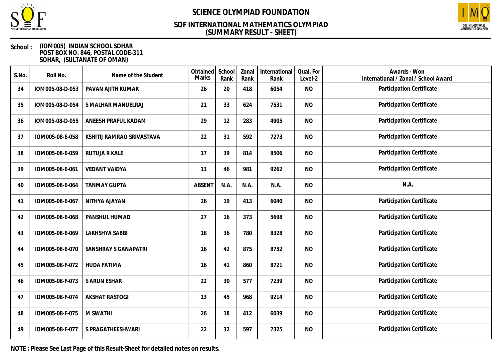

### **(SUMMARY RESULT - SHEET) SOF INTERNATIONAL MATHEMATICS OLYMPIAD**



#### **School : (IOM005) INDIAN SCHOOL SOHAR POST BOX NO. 846, POSTAL CODE-311 SOHAR, (SULTANATE OF OMAN)**

| S.No. | Roll No.        | Name of the Student         | Obtained<br><b>Marks</b> | School<br>Rank | Zonal<br>Rank | International<br>Rank | Qual. For<br>Level-2 | Awards - Won<br>International / Zonal / School Award |
|-------|-----------------|-----------------------------|--------------------------|----------------|---------------|-----------------------|----------------------|------------------------------------------------------|
| 34    | IOM005-08-D-053 | PAVAN AJITH KUMAR           | 26                       | 20             | 418           | 6054                  | <b>NO</b>            | Participation Certificate                            |
| 35    | IOM005-08-D-054 | S MALHAR MANUELRAJ          | 21                       | 33             | 624           | 7531                  | <b>NO</b>            | Participation Certificate                            |
| 36    | IOM005-08-D-055 | ANEESH PRAFUL KADAM         | 29                       | 12             | 283           | 4905                  | <b>NO</b>            | Participation Certificate                            |
| 37    | IOM005-08-E-058 | KSHITIJ RAMRAO SRIVASTAVA   | 22                       | 31             | 592           | 7273                  | <b>NO</b>            | Participation Certificate                            |
| 38    | IOM005-08-E-059 | RUTUJA R KALE               | 17                       | 39             | 814           | 8506                  | <b>NO</b>            | Participation Certificate                            |
| 39    | IOM005-08-E-061 | <b>VEDANT VAIDYA</b>        | 13                       | 46             | 981           | 9262                  | <b>NO</b>            | Participation Certificate                            |
| 40    | IOM005-08-E-064 | <b>TANMAY GUPTA</b>         | <b>ABSENT</b>            | N.A.           | N.A.          | N.A.                  | <b>NO</b>            | N.A.                                                 |
| 41    | IOM005-08-E-067 | NITHYA AJAYAN               | 26                       | 19             | 413           | 6040                  | <b>NO</b>            | Participation Certificate                            |
| 42    | IOM005-08-E-068 | PANSHUL HUMAD               | 27                       | 16             | 373           | 5698                  | <b>NO</b>            | Participation Certificate                            |
| 43    | IOM005-08-E-069 | LAKHSHYA SABBI              | 18                       | 36             | 780           | 8328                  | <b>NO</b>            | Participation Certificate                            |
| 44    | IOM005-08-E-070 | <b>SANSHRAY S GANAPATRI</b> | 16                       | 42             | 875           | 8752                  | <b>NO</b>            | Participation Certificate                            |
| 45    | IOM005-08-F-072 | <b>HUDA FATIMA</b>          | 16                       | 41             | 860           | 8721                  | <b>NO</b>            | Participation Certificate                            |
| 46    | IOM005-08-F-073 | S ARUN ESHAR                | 22                       | 30             | 577           | 7239                  | <b>NO</b>            | Participation Certificate                            |
| 47    | IOM005-08-F-074 | <b>AKSHAT RASTOGI</b>       | 13                       | 45             | 968           | 9214                  | <b>NO</b>            | Participation Certificate                            |
| 48    | IOM005-08-F-075 | M SWATHI                    | 26                       | 18             | 412           | 6039                  | <b>NO</b>            | Participation Certificate                            |
| 49    | IOM005-08-F-077 | S PRAGATHEESHWARI           | 22                       | 32             | 597           | 7325                  | <b>NO</b>            | Participation Certificate                            |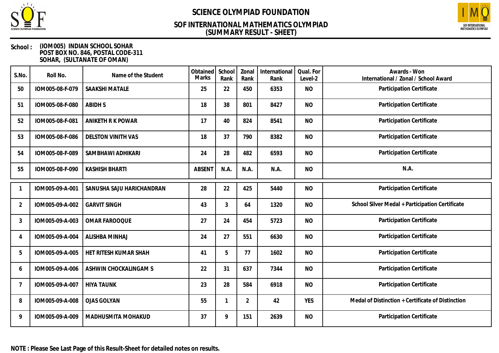

### **(SUMMARY RESULT - SHEET) SOF INTERNATIONAL MATHEMATICS OLYMPIAD**



#### **School : (IOM005) INDIAN SCHOOL SOHAR POST BOX NO. 846, POSTAL CODE-311 SOHAR, (SULTANATE OF OMAN)**

| S.No.          | Roll No.        | Name of the Student       | Obtained<br>Marks | School<br>Rank | Zonal<br>Rank  | International<br>Rank | Qual. For<br>Level-2 | Awards - Won<br>International / Zonal / School Award |
|----------------|-----------------|---------------------------|-------------------|----------------|----------------|-----------------------|----------------------|------------------------------------------------------|
| 50             | IOM005-08-F-079 | SAAKSHI MATALE            | 25                | 22             | 450            | 6353                  | <b>NO</b>            | Participation Certificate                            |
| 51             | IOM005-08-F-080 | <b>ABIDHS</b>             | 18                | 38             | 801            | 8427                  | <b>NO</b>            | Participation Certificate                            |
| 52             | IOM005-08-F-081 | ANIKETH R K POWAR         | 17                | 40             | 824            | 8541                  | <b>NO</b>            | Participation Certificate                            |
| 53             | IOM005-08-F-086 | <b>DELSTON VINITH VAS</b> | 18                | 37             | 790            | 8382                  | <b>NO</b>            | Participation Certificate                            |
| 54             | IOM005-08-F-089 | SAMBHAWI ADHIKARI         | 24                | 28             | 482            | 6593                  | <b>NO</b>            | Participation Certificate                            |
| 55             | IOM005-08-F-090 | <b>KASHISH BHARTI</b>     | <b>ABSENT</b>     | N.A.           | N.A.           | N.A.                  | <b>NO</b>            | N.A.                                                 |
|                | IOM005-09-A-001 | SANUSHA SAJU HARICHANDRAN | 28                | 22             | 425            | 5440                  | <b>NO</b>            | Participation Certificate                            |
| 2              | IOM005-09-A-002 | <b>GARVIT SINGH</b>       | 43                | 3              | 64             | 1320                  | <b>NO</b>            | School Silver Medal + Participation Certificate      |
| 3              | IOM005-09-A-003 | <b>OMAR FAROOQUE</b>      | 27                | 24             | 454            | 5723                  | <b>NO</b>            | Participation Certificate                            |
| 4              | IOM005-09-A-004 | ALISHBA MINHAJ            | 24                | 27             | 551            | 6630                  | <b>NO</b>            | Participation Certificate                            |
| 5              | IOM005-09-A-005 | HET RITESH KUMAR SHAH     | 41                | 5              | 77             | 1602                  | <b>NO</b>            | Participation Certificate                            |
| 6              | IOM005-09-A-006 | ASHWIN CHOCKALINGAM S     | 22                | 31             | 637            | 7344                  | <b>NO</b>            | Participation Certificate                            |
| $\overline{7}$ | IOM005-09-A-007 | <b>HIYA TAUNK</b>         | 23                | 28             | 584            | 6918                  | <b>NO</b>            | Participation Certificate                            |
| 8              | IOM005-09-A-008 | <b>OJAS GOLYAN</b>        | 55                | 1              | $\overline{2}$ | 42                    | <b>YES</b>           | Medal of Distinction + Certificate of Distinction    |
| 9              | IOM005-09-A-009 | MADHUSMITA MOHAKUD        | 37                | 9              | 151            | 2639                  | <b>NO</b>            | Participation Certificate                            |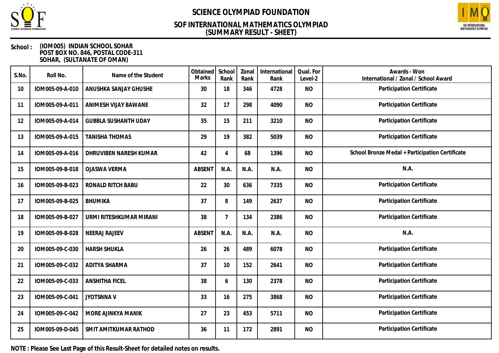

### **(SUMMARY RESULT - SHEET) SOF INTERNATIONAL MATHEMATICS OLYMPIAD**



#### **School : (IOM005) INDIAN SCHOOL SOHAR POST BOX NO. 846, POSTAL CODE-311 SOHAR, (SULTANATE OF OMAN)**

| S.No. | Roll No.        | Name of the Student         | Obtained<br>Marks | School<br>Rank | Zonal<br>Rank | International<br>Rank | Qual. For<br>Level-2 | Awards - Won<br>International / Zonal / School Award |
|-------|-----------------|-----------------------------|-------------------|----------------|---------------|-----------------------|----------------------|------------------------------------------------------|
| 10    | IOM005-09-A-010 | ANUSHKA SANJAY GHUSHE       | 30                | 18             | 346           | 4728                  | <b>NO</b>            | Participation Certificate                            |
| 11    | IOM005-09-A-011 | ANIMESH VIJAY BAWANE        | 32                | 17             | 298           | 4090                  | <b>NO</b>            | Participation Certificate                            |
| 12    | IOM005-09-A-014 | <b>GUBBLA SUSHANTH UDAY</b> | 35                | 15             | 211           | 3210                  | <b>NO</b>            | Participation Certificate                            |
| 13    | IOM005-09-A-015 | <b>TANISHA THOMAS</b>       | 29                | 19             | 382           | 5039                  | <b>NO</b>            | Participation Certificate                            |
| 14    | IOM005-09-A-016 | DHRUVIBEN NARESH KUMAR      | 42                | $\overline{4}$ | 68            | 1396                  | <b>NO</b>            | School Bronze Medal + Participation Certificate      |
| 15    | IOM005-09-B-018 | <b>OJASWA VERMA</b>         | <b>ABSENT</b>     | N.A.           | N.A.          | N.A.                  | <b>NO</b>            | N.A.                                                 |
| 16    | IOM005-09-B-023 | RONALD RITCH BABU           | 22                | 30             | 636           | 7335                  | <b>NO</b>            | Participation Certificate                            |
| 17    | IOM005-09-B-025 | <b>BHUMIKA</b>              | 37                | 8              | 149           | 2637                  | <b>NO</b>            | Participation Certificate                            |
| 18    | IOM005-09-B-027 | URMI RITESHKUMAR MIRANI     | 38                | $\overline{7}$ | 134           | 2386                  | <b>NO</b>            | Participation Certificate                            |
| 19    | IOM005-09-B-028 | <b>NEERAJ RAJEEV</b>        | <b>ABSENT</b>     | N.A.           | N.A.          | N.A.                  | <b>NO</b>            | N.A.                                                 |
| 20    | IOM005-09-C-030 | <b>HARSH SHUKLA</b>         | 26                | 26             | 489           | 6078                  | <b>NO</b>            | Participation Certificate                            |
| 21    | IOM005-09-C-032 | <b>ADITYA SHARMA</b>        | 37                | 10             | 152           | 2641                  | <b>NO</b>            | Participation Certificate                            |
| 22    | IOM005-09-C-033 | <b>ANSHITHA FICEL</b>       | 38                | 6              | 130           | 2378                  | <b>NO</b>            | Participation Certificate                            |
| 23    | IOM005-09-C-041 | <b>JYOTSNNAV</b>            | 33                | 16             | 275           | 3868                  | <b>NO</b>            | Participation Certificate                            |
| 24    | IOM005-09-C-042 | MORE AJINKYA MANIK          | 27                | 23             | 453           | 5711                  | <b>NO</b>            | Participation Certificate                            |
| 25    | IOM005-09-D-045 | SMIT AMITKUMAR RATHOD       | 36                | 11             | 172           | 2891                  | <b>NO</b>            | Participation Certificate                            |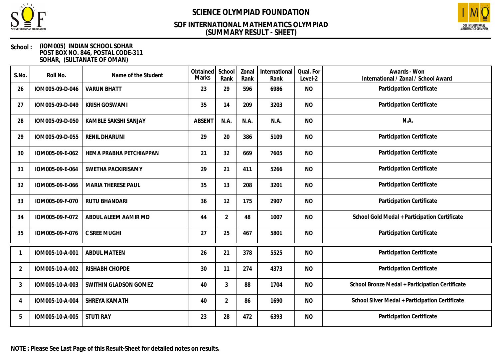

### **(SUMMARY RESULT - SHEET) SOF INTERNATIONAL MATHEMATICS OLYMPIAD**



#### **School : (IOM005) INDIAN SCHOOL SOHAR POST BOX NO. 846, POSTAL CODE-311 SOHAR, (SULTANATE OF OMAN)**

| S.No.          | Roll No.        | Name of the Student       | Obtained<br>Marks | School<br>Rank | Zonal<br>Rank | International<br>Rank | Qual. For<br>Level-2 | Awards - Won<br>International / Zonal / School Award |
|----------------|-----------------|---------------------------|-------------------|----------------|---------------|-----------------------|----------------------|------------------------------------------------------|
| 26             | IOM005-09-D-046 | <b>VARUN BHATT</b>        | 23                | 29             | 596           | 6986                  | <b>NO</b>            | Participation Certificate                            |
| 27             | IOM005-09-D-049 | <b>KRISH GOSWAMI</b>      | 35                | 14             | 209           | 3203                  | <b>NO</b>            | Participation Certificate                            |
| 28             | IOM005-09-D-050 | KAMBLE SAKSHI SANJAY      | <b>ABSENT</b>     | N.A.           | N.A.          | N.A.                  | <b>NO</b>            | N.A.                                                 |
| 29             | IOM005-09-D-055 | RENIL DHARUNI             | 29                | 20             | 386           | 5109                  | <b>NO</b>            | Participation Certificate                            |
| 30             | IOM005-09-E-062 | HEMA PRABHA PETCHIAPPAN   | 21                | 32             | 669           | 7605                  | <b>NO</b>            | Participation Certificate                            |
| 31             | IOM005-09-E-064 | SWETHA PACKIRISAMY        | 29                | 21             | 411           | 5266                  | <b>NO</b>            | Participation Certificate                            |
| 32             | IOM005-09-E-066 | <b>MARIA THERESE PAUL</b> | 35                | 13             | 208           | 3201                  | <b>NO</b>            | Participation Certificate                            |
| 33             | IOM005-09-F-070 | RUTU BHANDARI             | 36                | 12             | 175           | 2907                  | <b>NO</b>            | Participation Certificate                            |
| 34             | IOM005-09-F-072 | ABDUL ALEEM AAMIR MD      | 44                | $\overline{2}$ | 48            | 1007                  | <b>NO</b>            | School Gold Medal + Participation Certificate        |
| 35             | IOM005-09-F-076 | C SREE MUGHI              | 27                | 25             | 467           | 5801                  | <b>NO</b>            | Participation Certificate                            |
|                | IOM005-10-A-001 | <b>ABDUL MATEEN</b>       | 26                | 21             | 378           | 5525                  | <b>NO</b>            | Participation Certificate                            |
| $\overline{2}$ | IOM005-10-A-002 | RISHABH CHOPDE            | 30                | 11             | 274           | 4373                  | <b>NO</b>            | Participation Certificate                            |
| 3              | IOM005-10-A-003 | SWITHIN GLADSON GOMEZ     | 40                | 3              | 88            | 1704                  | <b>NO</b>            | School Bronze Medal + Participation Certificate      |
| 4              | IOM005-10-A-004 | SHREYA KAMATH             | 40                | $\overline{2}$ | 86            | 1690                  | <b>NO</b>            | School Silver Medal + Participation Certificate      |
| 5              | IOM005-10-A-005 | <b>STUTI RAY</b>          | 23                | 28             | 472           | 6393                  | <b>NO</b>            | Participation Certificate                            |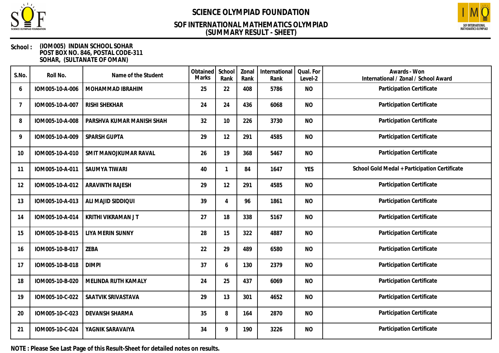

### **(SUMMARY RESULT - SHEET) SOF INTERNATIONAL MATHEMATICS OLYMPIAD**



#### **School : (IOM005) INDIAN SCHOOL SOHAR POST BOX NO. 846, POSTAL CODE-311 SOHAR, (SULTANATE OF OMAN)**

| S.No. | Roll No.        | Name of the Student       | Obtained<br>Marks | School<br>Rank | Zonal<br>Rank | International<br>Rank | Qual. For<br>Level-2 | Awards - Won<br>International / Zonal / School Award |
|-------|-----------------|---------------------------|-------------------|----------------|---------------|-----------------------|----------------------|------------------------------------------------------|
| 6     | IOM005-10-A-006 | MOHAMMAD IBRAHIM          | 25                | 22             | 408           | 5786                  | <b>NO</b>            | Participation Certificate                            |
| 7     | IOM005-10-A-007 | RISHI SHEKHAR             | 24                | 24             | 436           | 6068                  | <b>NO</b>            | Participation Certificate                            |
| 8     | IOM005-10-A-008 | PARSHVA KUMAR MANISH SHAH | 32                | 10             | 226           | 3730                  | <b>NO</b>            | Participation Certificate                            |
| 9     | IOM005-10-A-009 | SPARSH GUPTA              | 29                | 12             | 291           | 4585                  | <b>NO</b>            | Participation Certificate                            |
| 10    | IOM005-10-A-010 | SMIT MANOJKUMAR RAVAL     | 26                | 19             | 368           | 5467                  | <b>NO</b>            | Participation Certificate                            |
| 11    | IOM005-10-A-011 | <b>SAUMYA TIWARI</b>      | 40                | 1              | 84            | 1647                  | <b>YES</b>           | School Gold Medal + Participation Certificate        |
| 12    | IOM005-10-A-012 | <b>ARAVINTH RAJESH</b>    | 29                | 12             | 291           | 4585                  | <b>NO</b>            | Participation Certificate                            |
| 13    | IOM005-10-A-013 | ALI MAJID SIDDIQUI        | 39                | 4              | 96            | 1861                  | <b>NO</b>            | Participation Certificate                            |
| 14    | IOM005-10-A-014 | KRITHI VIKRAMAN J T       | 27                | 18             | 338           | 5167                  | <b>NO</b>            | Participation Certificate                            |
| 15    | IOM005-10-B-015 | <b>LIYA MERIN SUNNY</b>   | 28                | 15             | 322           | 4887                  | <b>NO</b>            | Participation Certificate                            |
| 16    | IOM005-10-B-017 | ZEBA                      | 22                | 29             | 489           | 6580                  | <b>NO</b>            | Participation Certificate                            |
| 17    | IOM005-10-B-018 | <b>DIMPI</b>              | 37                | 6              | 130           | 2379                  | <b>NO</b>            | Participation Certificate                            |
| 18    | IOM005-10-B-020 | MELINDA RUTH KAMALY       | 24                | 25             | 437           | 6069                  | <b>NO</b>            | Participation Certificate                            |
| 19    | IOM005-10-C-022 | SAATVIK SRIVASTAVA        | 29                | 13             | 301           | 4652                  | <b>NO</b>            | Participation Certificate                            |
| 20    | IOM005-10-C-023 | DEVANSH SHARMA            | 35                | 8              | 164           | 2870                  | <b>NO</b>            | Participation Certificate                            |
| 21    | IOM005-10-C-024 | YAGNIK SARAVAIYA          | 34                | 9              | 190           | 3226                  | <b>NO</b>            | Participation Certificate                            |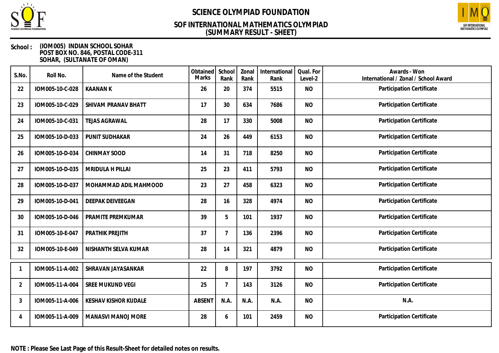

### **(SUMMARY RESULT - SHEET) SOF INTERNATIONAL MATHEMATICS OLYMPIAD**



#### **School : (IOM005) INDIAN SCHOOL SOHAR POST BOX NO. 846, POSTAL CODE-311 SOHAR, (SULTANATE OF OMAN)**

| S.No.          | Roll No.        | Name of the Student         | Obtained<br>Marks | School<br>Rank | Zonal<br>Rank | International<br>Rank | Qual. For<br>Level-2 | Awards - Won<br>International / Zonal / School Award |
|----------------|-----------------|-----------------------------|-------------------|----------------|---------------|-----------------------|----------------------|------------------------------------------------------|
| 22             | IOM005-10-C-028 | <b>KAANAN K</b>             | 26                | 20             | 374           | 5515                  | <b>NO</b>            | Participation Certificate                            |
| 23             | IOM005-10-C-029 | SHIVAM PRANAV BHATT         | 17                | 30             | 634           | 7686                  | <b>NO</b>            | Participation Certificate                            |
| 24             | IOM005-10-C-031 | <b>TEJAS AGRAWAL</b>        | 28                | 17             | 330           | 5008                  | <b>NO</b>            | Participation Certificate                            |
| 25             | IOM005-10-D-033 | PUNIT SUDHAKAR              | 24                | 26             | 449           | 6153                  | <b>NO</b>            | Participation Certificate                            |
| 26             | IOM005-10-D-034 | <b>CHINMAY SOOD</b>         | 14                | 31             | 718           | 8250                  | <b>NO</b>            | Participation Certificate                            |
| 27             | IOM005-10-D-035 | <b>MRIDULA H PILLAI</b>     | 25                | 23             | 411           | 5793                  | <b>NO</b>            | Participation Certificate                            |
| 28             | IOM005-10-D-037 | MOHAMMAD ADIL MAHMOOD       | 23                | 27             | 458           | 6323                  | <b>NO</b>            | Participation Certificate                            |
| 29             | IOM005-10-D-041 | <b>DEEPAK DEIVEEGAN</b>     | 28                | 16             | 328           | 4974                  | <b>NO</b>            | Participation Certificate                            |
| 30             | IOM005-10-D-046 | PRAMITE PREMKUMAR           | 39                | 5              | 101           | 1937                  | <b>NO</b>            | Participation Certificate                            |
| 31             | IOM005-10-E-047 | PRATHIK PREJITH             | 37                | $\overline{7}$ | 136           | 2396                  | <b>NO</b>            | Participation Certificate                            |
| 32             | IOM005-10-E-049 | NISHANTH SELVA KUMAR        | 28                | 14             | 321           | 4879                  | <b>NO</b>            | Participation Certificate                            |
|                | IOM005-11-A-002 | SHRAVAN JAYASANKAR          | 22                | 8              | 197           | 3792                  | <b>NO</b>            | Participation Certificate                            |
| $\overline{2}$ | IOM005-11-A-004 | <b>SREE MUKUND VEGI</b>     | 25                | 7              | 143           | 3126                  | <b>NO</b>            | Participation Certificate                            |
| 3              | IOM005-11-A-006 | <b>KESHAV KISHOR KUDALE</b> | <b>ABSENT</b>     | N.A.           | N.A.          | N.A.                  | <b>NO</b>            | N.A.                                                 |
| 4              | IOM005-11-A-009 | MANASVI MANOJ MORE          | 28                | 6              | 101           | 2459                  | <b>NO</b>            | Participation Certificate                            |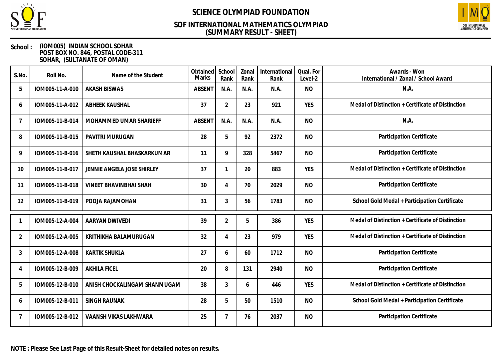

## **(SUMMARY RESULT - SHEET) SOF INTERNATIONAL MATHEMATICS OLYMPIAD**



#### **School : (IOM005) INDIAN SCHOOL SOHAR POST BOX NO. 846, POSTAL CODE-311 SOHAR, (SULTANATE OF OMAN)**

| S.No.          | Roll No.        | Name of the Student           | Obtained<br>Marks | School<br>Rank | Zonal<br>Rank | International<br>Rank | Qual. For<br>Level-2 | Awards - Won<br>International / Zonal / School Award |
|----------------|-----------------|-------------------------------|-------------------|----------------|---------------|-----------------------|----------------------|------------------------------------------------------|
| 5              | IOM005-11-A-010 | <b>AKASH BISWAS</b>           | <b>ABSENT</b>     | N.A.           | N.A.          | N.A.                  | <b>NO</b>            | N.A.                                                 |
| 6              | IOM005-11-A-012 | <b>ABHEEK KAUSHAL</b>         | 37                | $\overline{2}$ | 23            | 921                   | <b>YES</b>           | Medal of Distinction + Certificate of Distinction    |
| $\overline{7}$ | IOM005-11-B-014 | MOHAMMED UMAR SHARIEFF        | <b>ABSENT</b>     | N.A.           | N.A.          | N.A.                  | <b>NO</b>            | N.A.                                                 |
| 8              | IOM005-11-B-015 | PAVITRI MURUGAN               | 28                | 5              | 92            | 2372                  | <b>NO</b>            | Participation Certificate                            |
| 9              | IOM005-11-B-016 | SHETH KAUSHAL BHASKARKUMAR    | 11                | 9              | 328           | 5467                  | <b>NO</b>            | Participation Certificate                            |
| 10             | IOM005-11-B-017 | JENNIE ANGELA JOSE SHIRLEY    | 37                | $\mathbf{1}$   | 20            | 883                   | <b>YES</b>           | Medal of Distinction + Certificate of Distinction    |
| 11             | IOM005-11-B-018 | <b>VINEET BHAVINBHAI SHAH</b> | 30                | 4              | 70            | 2029                  | <b>NO</b>            | Participation Certificate                            |
| 12             | IOM005-11-B-019 | POOJA RAJAMOHAN               | 31                | $\mathfrak{Z}$ | 56            | 1783                  | <b>NO</b>            | School Gold Medal + Participation Certificate        |
|                | IOM005-12-A-004 | AARYAN DWIVEDI                | 39                | $\overline{2}$ | 5             | 386                   | <b>YES</b>           | Medal of Distinction + Certificate of Distinction    |
| $\overline{2}$ | IOM005-12-A-005 | KRITHIKHA BALAMURUGAN         | 32                | 4              | 23            | 979                   | <b>YES</b>           | Medal of Distinction + Certificate of Distinction    |
| 3              | IOM005-12-A-008 | <b>KARTIK SHUKLA</b>          | 27                | 6              | 60            | 1712                  | <b>NO</b>            | Participation Certificate                            |
| 4              | IOM005-12-B-009 | <b>AKHILA FICEL</b>           | 20                | 8              | 131           | 2940                  | <b>NO</b>            | Participation Certificate                            |
| 5              | IOM005-12-B-010 | ANISH CHOCKALINGAM SHANMUGAM  | 38                | 3              | 6             | 446                   | <b>YES</b>           | Medal of Distinction + Certificate of Distinction    |
| 6              | IOM005-12-B-011 | SINGH RAUNAK                  | 28                | 5              | 50            | 1510                  | <b>NO</b>            | School Gold Medal + Participation Certificate        |
| 7              | IOM005-12-B-012 | VAANSH VIKAS LAKHWARA         | 25                | 7              | 76            | 2037                  | <b>NO</b>            | Participation Certificate                            |